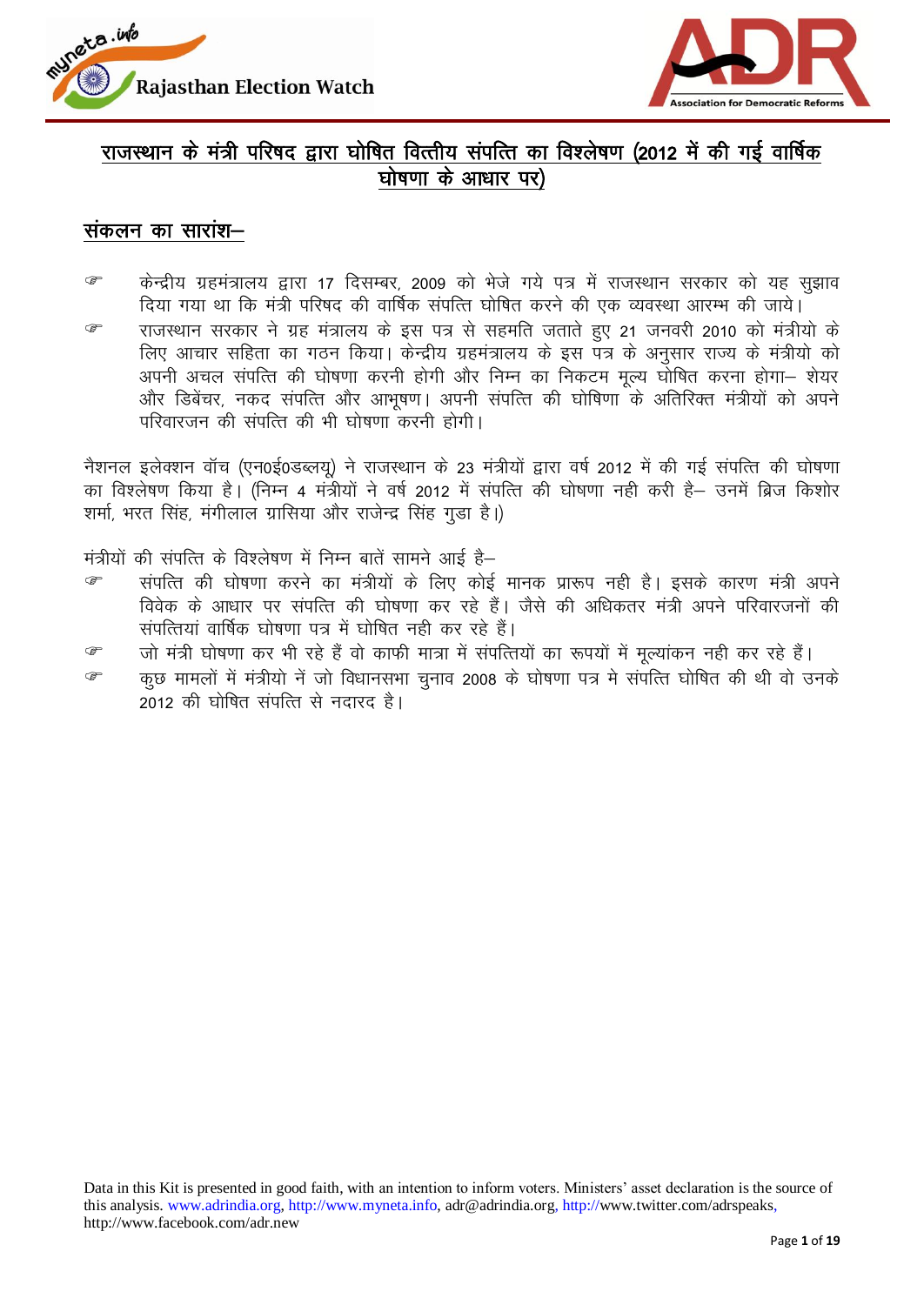



## राजस्थान के मंत्री परिषद द्वारा घोषित वित्तीय संपत्ति का विश्लेषण (2012 में की गई वार्षिक घोषणा के आधार पर)

### संकलन का सारांश $-$

<u>® किन्द्रीय ग्रहमंत्रालय द्वारा 17 दिसम्बर, 2009 को भेजे गये पत्र में राजस्थान सरकार को यह सझाव</u> दिया गया था कि मंत्री परिषद की वार्षिक संपत्ति घोषित करने की एक व्यवस्था आरम्भ की जाये। <sup>क</sup> राजस्थान सरकार ने ग्रह मंत्रालय के इस पत्र से सहमति जताते हए 21 जनवरी 2010 को मंत्रीयो के लिए आचार सहिता का गठन किया। केन्द्रीय ग्रहमंत्रालय के इस पत्र के अनुसार राज्य के मंत्रीयो को अपनी अचल संपत्ति की घोषणा करनी होगी और निम्न का निकटम मृत्य घोषित करना होगा— शेयर और डिबेंचर, नकद संपत्ति और आभुषण। अपनी संपत्ति की घोषिणा के अतिरिक्त मंत्रीयों को अपने परिवारजन की संपत्ति की भी घोषणा करनी होगी।

नैशनल इलेक्शन वॉच (एन0ई0डब्लयू) ने राजस्थान के 23 मंत्रीयों द्वारा वर्ष 2012 में की गई संपत्ति की घोषणा का विश्लेषण किया है। (निम्न 4 मंत्रीयों ने वर्ष 2012 में संपत्ति की घोषणा नही करी है– उनमें ब्रिज किशोर शर्मा, भरत सिंह, मंगीलाल ग्रासिया और राजेन्द्र सिंह गुड़ा है।)

मंत्रीयों की संपत्ति के विश्लेषण में निम्न बातें सामने आई है–

- <sup>क</sup> संपत्ति की घोषणा करने का मंत्रीयों के लिए कोई मानक प्रारूप नही है। इसके कारण मंत्री अपने विवेक के आधार पर संपत्ति की घोषणा कर रहे हैं। जैसे की अधिकतर मंत्री अपने परिवारजनों की संपत्तियां वार्षिक घोषणा पत्र में घोषित नही कर रहे हैं।
- <u>क्ति क</u>र जो मंत्री घोषणा कर भी रहे हैं वो काफी मात्रा में संपत्तियों का रूपयों में मल्यांकन नही कर रहे हैं।
- क्त कुछ मामलों में मंत्रीयो नें जो विधानसभा चुनाव 2008 के घोषणा पत्र मे संपत्ति घोषित की थी वो उनके 2012 की घोषित संपत्ति से नदारद है।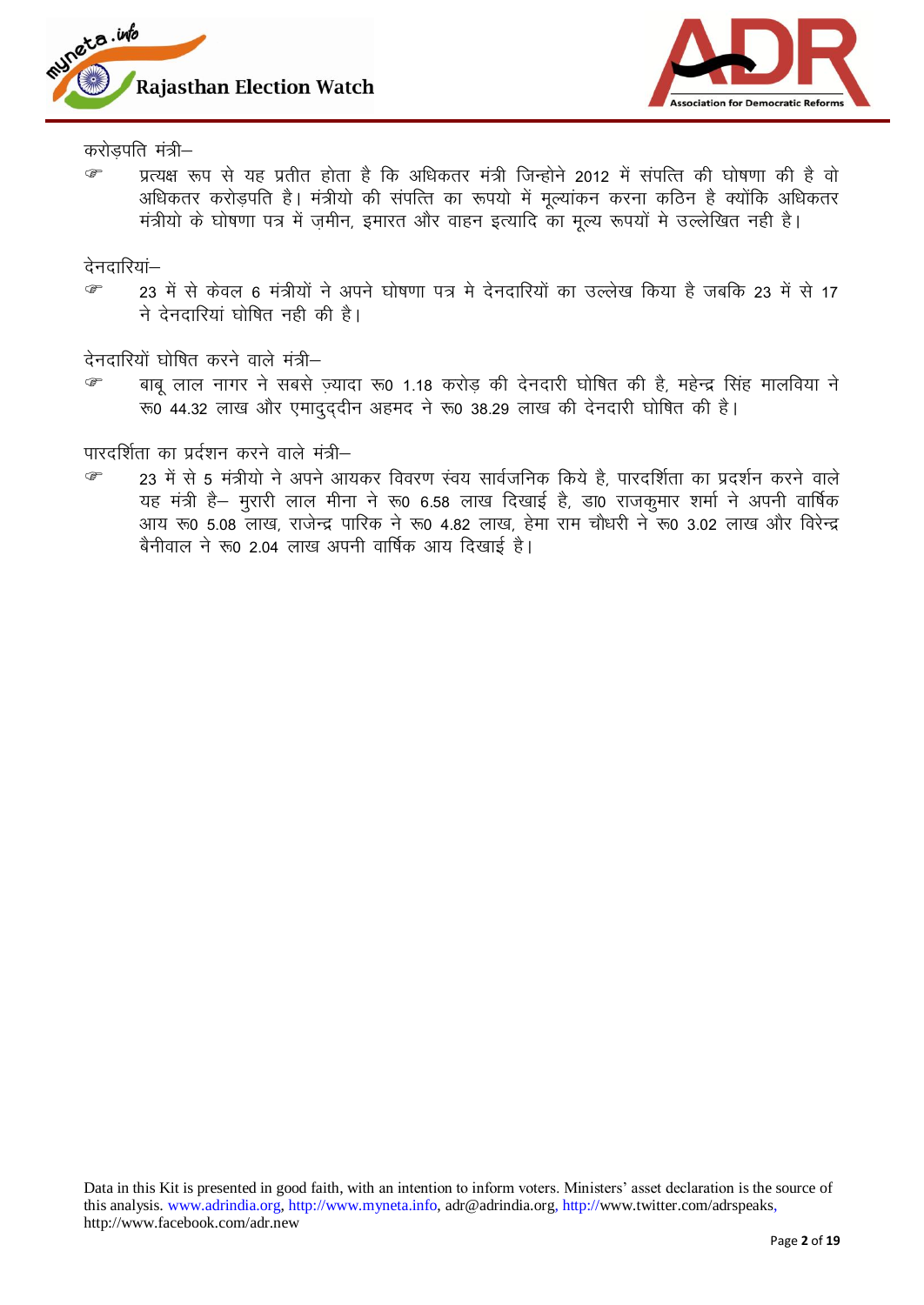



करोडपति मंत्री $-$ 

<sup>क</sup> प्रत्यक्ष रूप से यह प्रतीत होता है कि अधिकतर मंत्री जिन्होने 2012 में संपत्ति की घोषणा की है वो अधिकतर करोडपति है। मंत्रीयो की संपत्ति का रूपयो में मूल्यांकन करना कठिन है क्योंकि अधिकतर मंत्रीयो के घोषणा पत्र में जमीन, इमारत और वाहन इत्यादि का मुल्य रूपयों मे उल्लेखित नही है।

देनदारियां—

☞ 23 में से केवल 6 मंत्रीयों ने अपने घोषणा पत्र मे देनदारियों का उल्लेख किया है जबकि 23 में से 17 ने देनदारियां घोषित नही की है।

देनदारियों घोषित करने वाले मंत्री $-$ 

<u>® बाबु</u> लाल नागर ने सबसे ज्यादा रू0 1.18 करोड की देनदारी घोषित की है, महेन्द्र सिंह मालविया ने  $\overline{x}$   $\overline{6}$  44.32 लाख और एमाद्द्दीन अहमद ने रू0 38.29 लाख की देनदारी घोषित की है।

पारदर्शिता का प्रर्दशन करने वाले मंत्री–

☞ 23 में से 5 मंत्रीयो ने अपने आयकर विवरण स्वय सार्वजनिक किये है, पारदर्शिता का प्रदर्शन करने वाले यह मंत्री है– मुरारी लाल मीना ने रू0 6.58 लाख दिखाई है, डा0 राजकुमार शर्मा ने अपनी वार्षिक आय रू0 5.08 लाख, राजेन्द्र पारिक ने रू0 4.82 लाख, हेमा राम चौधरी ने रू0 3.02 लाख और विरेन्द्र बैनीवाल ने रू0 2.04 लाख अपनी वार्षिक आय दिखाई है।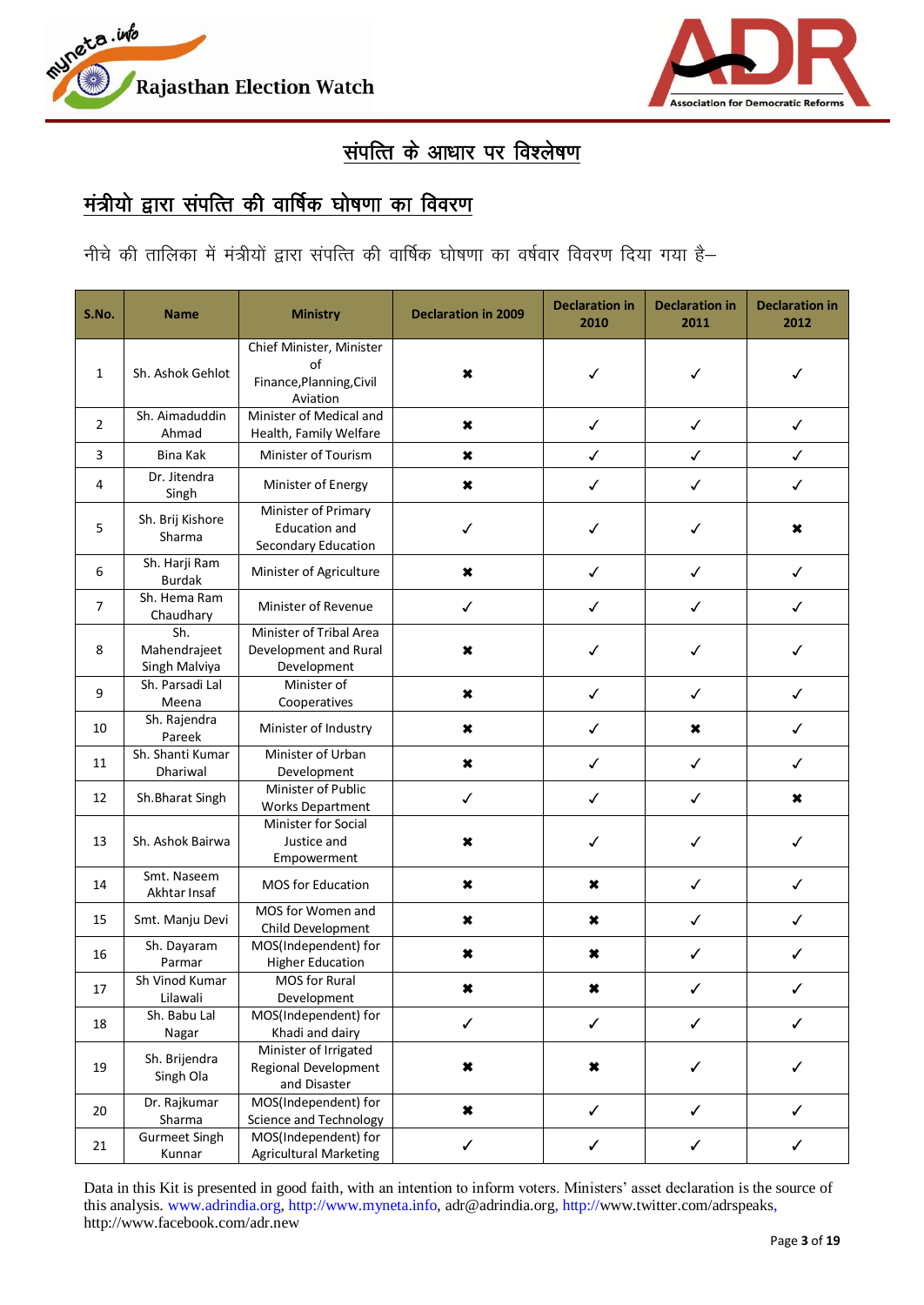



# संप<u>त्ति के आधार पर विश्लेषण</u>

## <u>मंत्रीयो द्वारा संपत्ति की वार्षिक घोषणा का विवरण</u>

<u>नीचे की तालिका में मंत्रीयों द्वारा संपत्ति की वार्षिक घोषणा का वर्षवार विवरण दिया गया है</u>

| S.No.          | <b>Name</b>                          | <b>Ministry</b>                                                        | <b>Declaration in 2009</b> | <b>Declaration in</b><br>2010 | <b>Declaration in</b><br>2011 | <b>Declaration in</b><br>2012 |
|----------------|--------------------------------------|------------------------------------------------------------------------|----------------------------|-------------------------------|-------------------------------|-------------------------------|
| $\mathbf{1}$   | Sh. Ashok Gehlot                     | Chief Minister, Minister<br>of<br>Finance, Planning, Civil<br>Aviation | ×                          | ✓                             | $\checkmark$                  | ✓                             |
| $\overline{2}$ | Sh. Aimaduddin<br>Ahmad              | Minister of Medical and<br>Health, Family Welfare                      | ×                          | $\checkmark$                  | ✓                             | ✓                             |
| 3              | Bina Kak                             | Minister of Tourism                                                    | ×                          | $\checkmark$                  | $\checkmark$                  | $\checkmark$                  |
| 4              | Dr. Jitendra<br>Singh                | Minister of Energy                                                     | ×                          | ✓                             | ✓                             | ✓                             |
| 5              | Sh. Brij Kishore<br>Sharma           | Minister of Primary<br><b>Education and</b><br>Secondary Education     | ✓                          | ✓                             | ✓                             | ×                             |
| 6              | Sh. Harji Ram<br><b>Burdak</b>       | Minister of Agriculture                                                | ×                          | $\checkmark$                  | $\checkmark$                  | ✓                             |
| $\overline{7}$ | Sh. Hema Ram<br>Chaudhary            | Minister of Revenue                                                    | $\checkmark$               | $\checkmark$                  | $\checkmark$                  | $\checkmark$                  |
| 8              | Sh.<br>Mahendrajeet<br>Singh Malviya | Minister of Tribal Area<br>Development and Rural<br>Development        | ×                          | ✓                             | ✓                             | ✓                             |
| 9              | Sh. Parsadi Lal<br>Meena             | Minister of<br>Cooperatives                                            | ×                          | ✓                             | ✓                             | ✓                             |
| 10             | Sh. Rajendra<br>Pareek               | Minister of Industry                                                   | ×                          | $\checkmark$                  | ×                             | ✓                             |
| 11             | Sh. Shanti Kumar<br>Dhariwal         | Minister of Urban<br>Development                                       | ×                          | $\checkmark$                  | $\checkmark$                  | ✓                             |
| 12             | Sh. Bharat Singh                     | Minister of Public<br><b>Works Department</b>                          | $\checkmark$               | $\checkmark$                  | ✓                             | ×                             |
| 13             | Sh. Ashok Bairwa                     | Minister for Social<br>Justice and<br>Empowerment                      | ×                          | ✓                             | ✓                             | ✓                             |
| 14             | Smt. Naseem<br>Akhtar Insaf          | <b>MOS for Education</b>                                               | ×                          | ×                             | $\checkmark$                  | $\checkmark$                  |
| 15             | Smt. Manju Devi                      | MOS for Women and<br>Child Development                                 | $\boldsymbol{\mathsf{x}}$  | ×                             | $\checkmark$                  | $\checkmark$                  |
| 16             | Sh. Dayaram<br>Parmar                | MOS(Independent) for<br><b>Higher Education</b>                        | $\pmb{\times}$             | $\boldsymbol{\ast}$           | $\checkmark$                  | ✓                             |
| 17             | Sh Vinod Kumar<br>Lilawali           | MOS for Rural<br>Development                                           | ×                          | ×                             | ✓                             | ✓                             |
| 18             | Sh. Babu Lal<br>Nagar                | MOS(Independent) for<br>Khadi and dairy                                | $\checkmark$               | $\checkmark$                  | $\checkmark$                  | $\checkmark$                  |
| 19             | Sh. Brijendra<br>Singh Ola           | Minister of Irrigated<br>Regional Development<br>and Disaster          | ×                          | ×                             | $\checkmark$                  | ✓                             |
| 20             | Dr. Rajkumar<br>Sharma               | MOS(Independent) for<br>Science and Technology                         | $\pmb{\times}$             | ✓                             | ✓                             | ✓                             |
| 21             | <b>Gurmeet Singh</b><br>Kunnar       | MOS(Independent) for<br><b>Agricultural Marketing</b>                  | $\checkmark$               | ✓                             | ✓                             | ✓                             |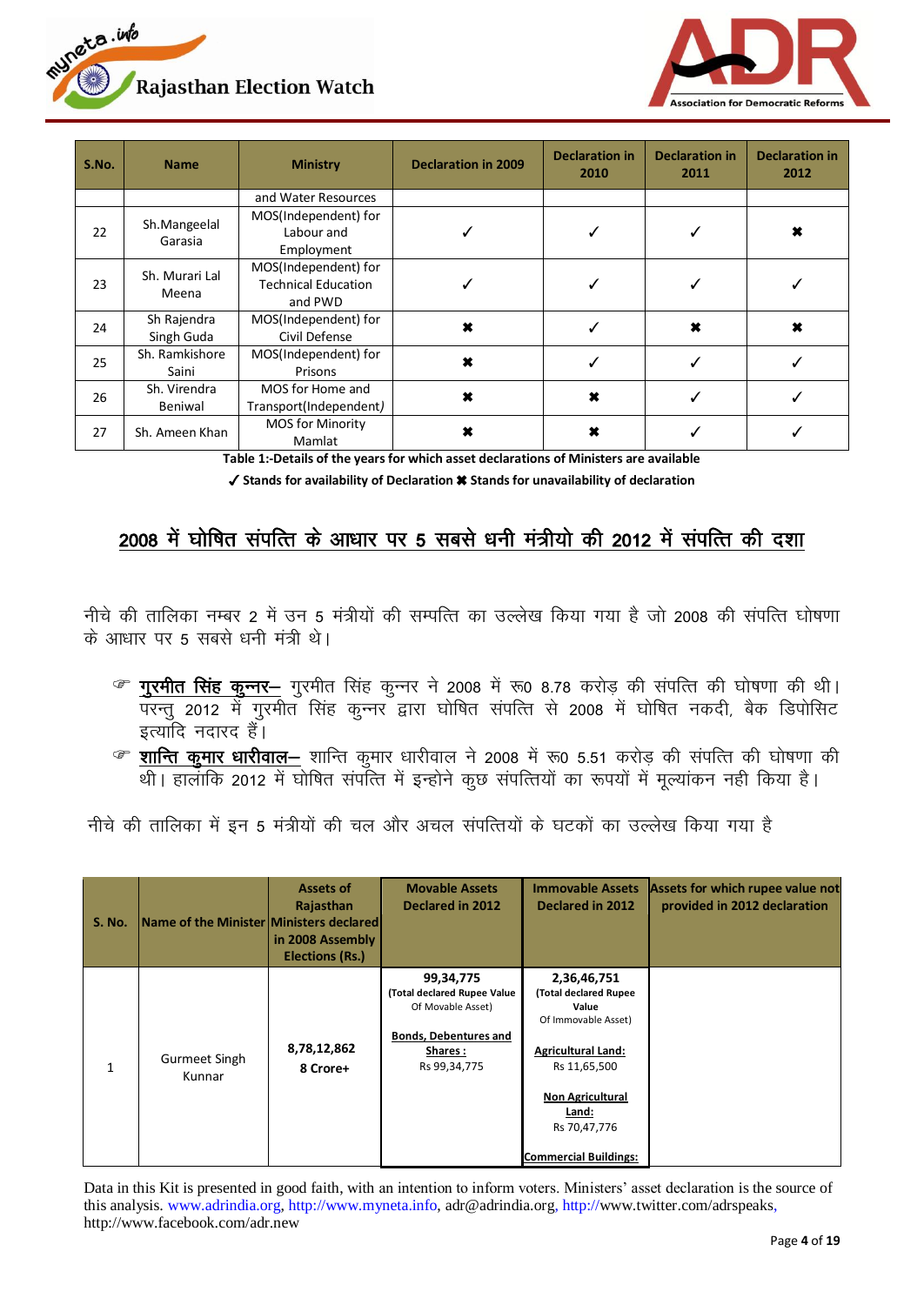



| S.No. | <b>Name</b>             | <b>Ministry</b>            | <b>Declaration in 2009</b> | <b>Declaration in</b><br>2010 | <b>Declaration in</b><br>2011 | <b>Declaration in</b><br>2012 |
|-------|-------------------------|----------------------------|----------------------------|-------------------------------|-------------------------------|-------------------------------|
|       |                         | and Water Resources        |                            |                               |                               |                               |
|       | Sh.Mangeelal            | MOS(Independent) for       |                            |                               |                               |                               |
| 22    | Garasia                 | Labour and                 |                            |                               |                               |                               |
|       |                         | Employment                 |                            |                               |                               |                               |
|       | Sh. Murari Lal<br>Meena | MOS(Independent) for       |                            |                               |                               |                               |
| 23    |                         | <b>Technical Education</b> |                            |                               |                               |                               |
|       |                         | and PWD                    |                            |                               |                               |                               |
| 24    | Sh Rajendra             | MOS(Independent) for       | ×                          |                               | ×                             | 耸                             |
|       | Singh Guda              | Civil Defense              |                            |                               |                               |                               |
| 25    | Sh. Ramkishore          | MOS(Independent) for       | ×                          |                               |                               |                               |
|       | Saini                   | Prisons                    |                            |                               |                               |                               |
| 26    | Sh. Virendra            | MOS for Home and           | ×                          | ×                             |                               |                               |
|       | Beniwal                 | Transport(Independent)     |                            |                               |                               |                               |
|       |                         | <b>MOS for Minority</b>    |                            | ×                             |                               |                               |
| 27    | Sh. Ameen Khan          | Mamlat                     |                            |                               |                               |                               |

**Table 1:-Details of the years for which asset declarations of Ministers are available**

✓ **Stands for availability of Declaration** ✖ **Stands for unavailability of declaration**

## 2008 में घोषित संपत्ति के आधार पर 5 सबसे धनी मंत्रीयो की 2012 में संपत्ति की दशा

नीचे की तालिका नम्बर 2 में उन 5 मंत्रीयों की सम्पत्ति का उल्लेख किया गया है जो 2008 की संपत्ति घोषणा के आधार पर 5 सबसे धनी मंत्री थे।

- *®* गुरमीत सिंह कुन्नर— गुरमीत सिंह कुन्नर ने 2008 में रू0 8.78 करोड़ की संपत्ति की घोषणा की थी। परन्तु 2012 में गुरमीत सिंह कुन्नर द्वारा घोषित संपत्ति से 2008 में घोषित नकदी, बैक डिपोसिट इत्यादि नदारद हैं।
- ® <mark>शान्ति कुमार धारीवाल—</mark> शान्ति कुमार धारीवाल ने 2008 में रू0 5.51 करोड़ की संपत्ति की घोषणा की थी। हालांकि 2012 में घोषित संपत्ति में इन्होने कुछ संपत्तियों का रूपयों में मूल्यांकन नही किया है।

नीचे की तालिका में इन 5 मंत्रीयों की चल और अचल संपत्तियों के घटकों का उल्लेख किया गया है

| <b>S. No.</b> | Name of the Minister Ministers declared | Assets of<br>Rajasthan<br>in 2008 Assembly<br><b>Elections (Rs.)</b> | <b>Movable Assets</b><br>Declared in 2012                                                                                | <b>Immovable Assets</b><br><b>Declared in 2012</b>                                                                                                                                                    | Assets for which rupee value not<br>provided in 2012 declaration |
|---------------|-----------------------------------------|----------------------------------------------------------------------|--------------------------------------------------------------------------------------------------------------------------|-------------------------------------------------------------------------------------------------------------------------------------------------------------------------------------------------------|------------------------------------------------------------------|
| $\mathbf{1}$  | <b>Gurmeet Singh</b><br>Kunnar          | 8,78,12,862<br>8 Crore+                                              | 99,34,775<br>(Total declared Rupee Value<br>Of Movable Asset)<br><b>Bonds, Debentures and</b><br>Shares:<br>Rs 99,34,775 | 2,36,46,751<br>(Total declared Rupee<br>Value<br>Of Immovable Asset)<br><b>Agricultural Land:</b><br>Rs 11,65,500<br><b>Non Agricultural</b><br>Land:<br>Rs 70,47,776<br><b>Commercial Buildings:</b> |                                                                  |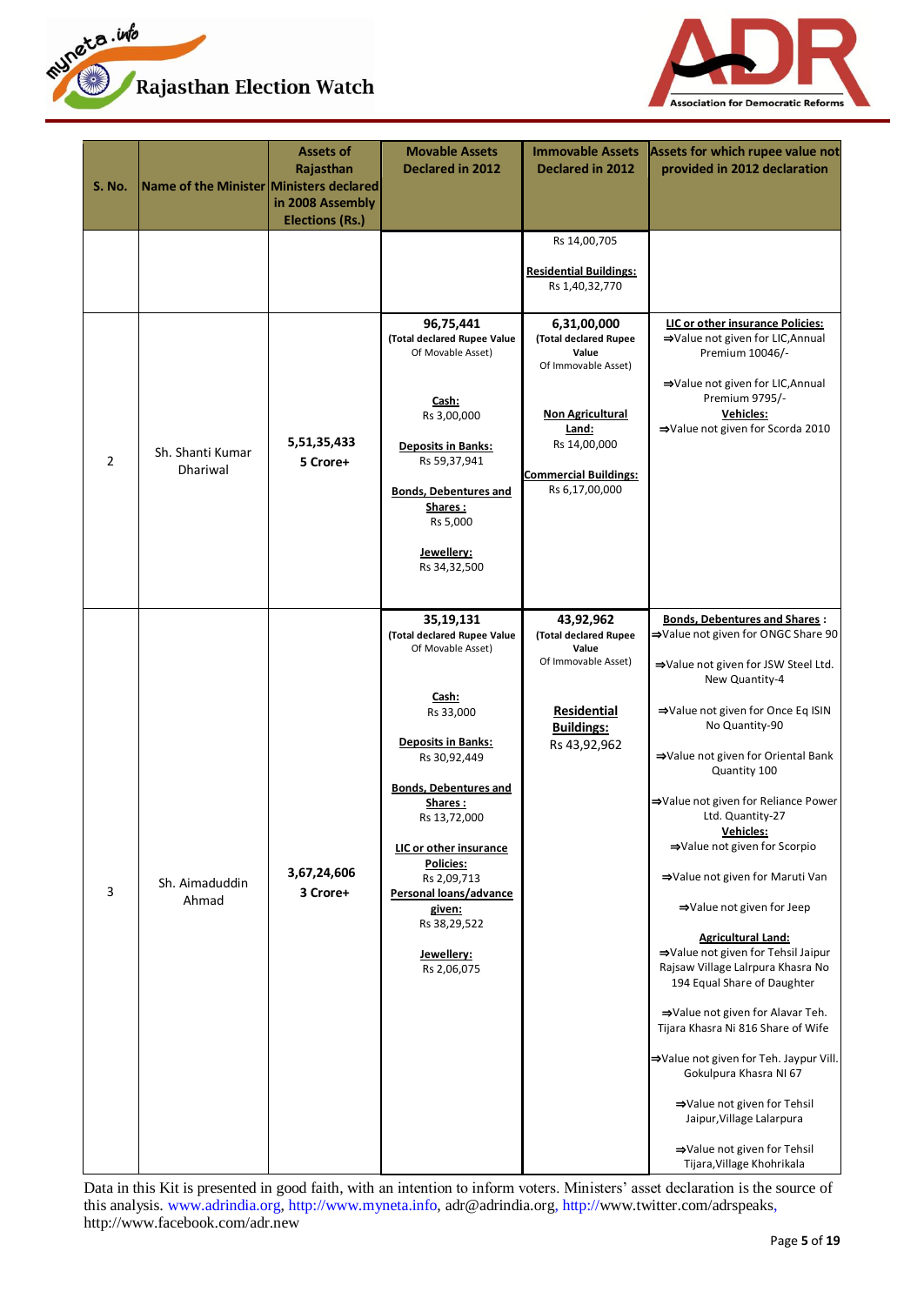



| <b>S. No.</b>  | Name of the Minister Ministers declared | <b>Assets of</b><br>Rajasthan<br>in 2008 Assembly<br><b>Elections (Rs.)</b> | <b>Movable Assets</b><br><b>Declared in 2012</b>                                                                                                                                                                                                                                                                                          | <b>Immovable Assets</b><br><b>Declared in 2012</b>                                                                                                          | Assets for which rupee value not<br>provided in 2012 declaration                                                                                                                                                                                                                                                                                                                                                                                                                                                                                                                                                                                                                                                                                                                                                                              |
|----------------|-----------------------------------------|-----------------------------------------------------------------------------|-------------------------------------------------------------------------------------------------------------------------------------------------------------------------------------------------------------------------------------------------------------------------------------------------------------------------------------------|-------------------------------------------------------------------------------------------------------------------------------------------------------------|-----------------------------------------------------------------------------------------------------------------------------------------------------------------------------------------------------------------------------------------------------------------------------------------------------------------------------------------------------------------------------------------------------------------------------------------------------------------------------------------------------------------------------------------------------------------------------------------------------------------------------------------------------------------------------------------------------------------------------------------------------------------------------------------------------------------------------------------------|
|                |                                         |                                                                             | 96,75,441                                                                                                                                                                                                                                                                                                                                 | Rs 14,00,705<br><b>Residential Buildings:</b><br>Rs 1,40,32,770<br>6,31,00,000                                                                              | LIC or other insurance Policies:                                                                                                                                                                                                                                                                                                                                                                                                                                                                                                                                                                                                                                                                                                                                                                                                              |
| $\overline{2}$ | Sh. Shanti Kumar<br>Dhariwal            | 5,51,35,433<br>5 Crore+                                                     | (Total declared Rupee Value<br>Of Movable Asset)<br>Cash:<br>Rs 3,00,000<br><b>Deposits in Banks:</b><br>Rs 59,37,941<br><b>Bonds, Debentures and</b><br>Shares:<br>Rs 5,000<br>Jewellery:<br>Rs 34,32,500                                                                                                                                | (Total declared Rupee<br>Value<br>Of Immovable Asset)<br><b>Non Agricultural</b><br>Land:<br>Rs 14,00,000<br><b>Commercial Buildings:</b><br>Rs 6,17,00,000 | ⇒Value not given for LIC, Annual<br>Premium 10046/-<br>⇒Value not given for LIC, Annual<br>Premium 9795/-<br>Vehicles:<br>⇒Value not given for Scorda 2010                                                                                                                                                                                                                                                                                                                                                                                                                                                                                                                                                                                                                                                                                    |
| 3              | Sh. Aimaduddin<br>Ahmad                 | 3,67,24,606<br>3 Crore+                                                     | 35,19,131<br>(Total declared Rupee Value<br>Of Movable Asset)<br>Cash:<br>Rs 33,000<br><b>Deposits in Banks:</b><br>Rs 30,92,449<br><b>Bonds, Debentures and</b><br>Shares:<br>Rs 13,72,000<br>LIC or other insurance<br><b>Policies:</b><br>Rs 2,09,713<br>Personal loans/advance<br>given:<br>Rs 38,29,522<br>Jewellery:<br>Rs 2,06,075 | 43,92,962<br>(Total declared Rupee<br>Value<br>Of Immovable Asset)<br>Residential<br><b>Buildings:</b><br>Rs 43,92,962                                      | <b>Bonds, Debentures and Shares:</b><br>⇒Value not given for ONGC Share 90<br>⇒Value not given for JSW Steel Ltd.<br>New Quantity-4<br>⇒Value not given for Once Eq ISIN<br>No Quantity-90<br>⇒Value not given for Oriental Bank<br>Quantity 100<br>⇒Value not given for Reliance Power<br>Ltd. Quantity-27<br><u>Vehicles:</u><br>⇒Value not given for Scorpio<br>⇒Value not given for Maruti Van<br>⇒Value not given for Jeep<br><b>Agricultural Land:</b><br>⇒Value not given for Tehsil Jaipur<br>Rajsaw Village Lalrpura Khasra No<br>194 Equal Share of Daughter<br>⇒Value not given for Alavar Teh.<br>Tijara Khasra Ni 816 Share of Wife<br>⇒Value not given for Teh. Jaypur Vill.<br>Gokulpura Khasra NI 67<br>⇒Value not given for Tehsil<br>Jaipur, Village Lalarpura<br>⇒Value not given for Tehsil<br>Tijara, Village Khohrikala |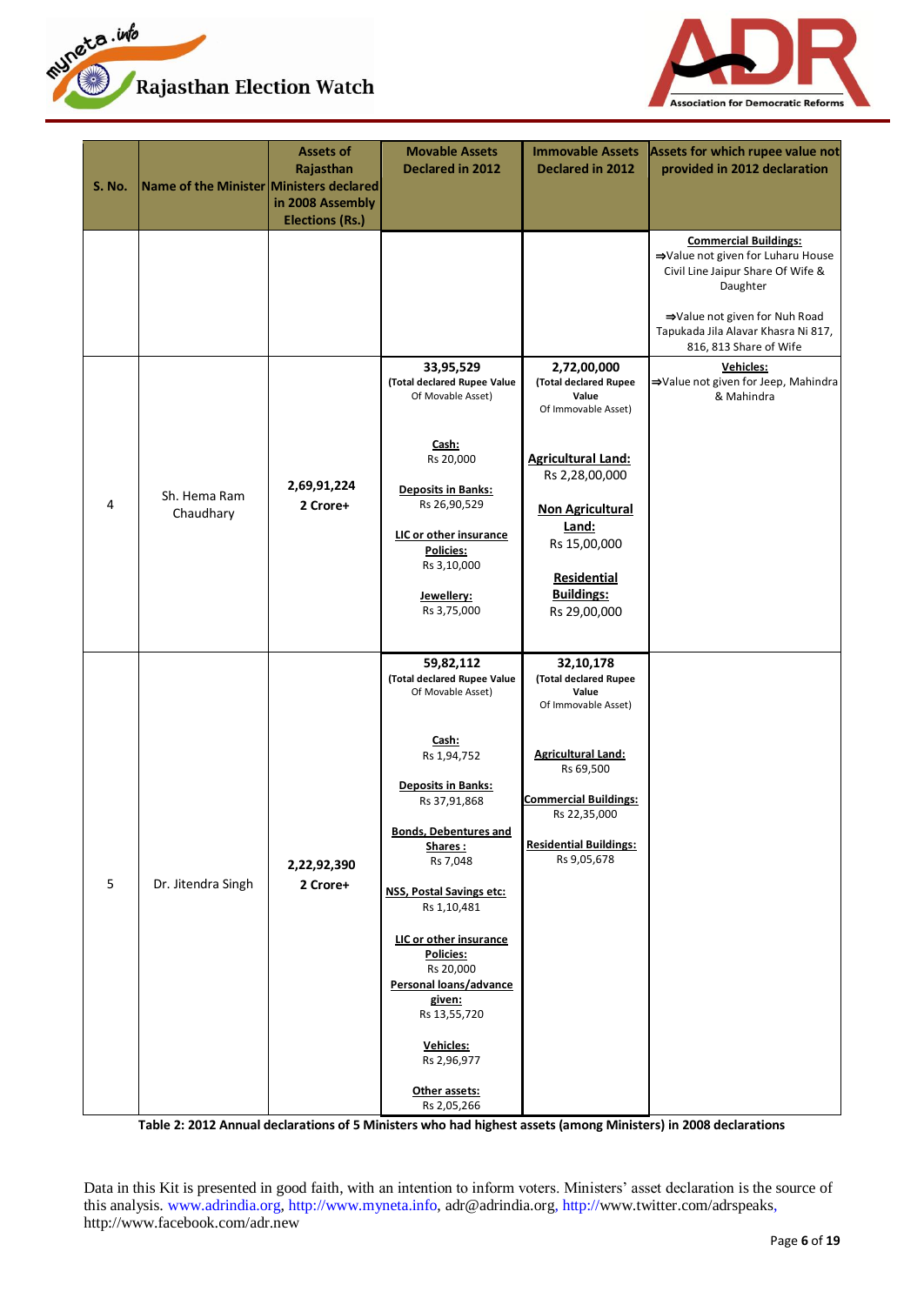



| <b>S. No.</b> | Name of the Minister Ministers declared | <b>Assets of</b><br>Rajasthan<br>in 2008 Assembly<br><b>Elections (Rs.)</b> | <b>Movable Assets</b><br>Declared in 2012                                                                                                                                                                                                                                                                                                                                                                               | <b>Immovable Assets</b><br>Declared in 2012                                                                                                                                                                  | Assets for which rupee value not<br>provided in 2012 declaration                                                                                                                                                                         |
|---------------|-----------------------------------------|-----------------------------------------------------------------------------|-------------------------------------------------------------------------------------------------------------------------------------------------------------------------------------------------------------------------------------------------------------------------------------------------------------------------------------------------------------------------------------------------------------------------|--------------------------------------------------------------------------------------------------------------------------------------------------------------------------------------------------------------|------------------------------------------------------------------------------------------------------------------------------------------------------------------------------------------------------------------------------------------|
|               |                                         |                                                                             | 33,95,529                                                                                                                                                                                                                                                                                                                                                                                                               | 2,72,00,000                                                                                                                                                                                                  | <b>Commercial Buildings:</b><br>⇒Value not given for Luharu House<br>Civil Line Jaipur Share Of Wife &<br>Daughter<br>⇒Value not given for Nuh Road<br>Tapukada Jila Alavar Khasra Ni 817,<br>816, 813 Share of Wife<br><b>Vehicles:</b> |
| 4             | Sh. Hema Ram<br>Chaudhary               | 2,69,91,224<br>2 Crore+                                                     | (Total declared Rupee Value<br>Of Movable Asset)<br>Cash:<br>Rs 20,000<br><b>Deposits in Banks:</b><br>Rs 26,90,529<br>LIC or other insurance<br><b>Policies:</b><br>Rs 3,10,000<br>Jewellery:<br>Rs 3,75,000                                                                                                                                                                                                           | (Total declared Rupee<br>Value<br>Of Immovable Asset)<br><b>Agricultural Land:</b><br>Rs 2,28,00,000<br><b>Non Agricultural</b><br>Land:<br>Rs 15,00,000<br>Residential<br><b>Buildings:</b><br>Rs 29,00,000 | ⇒Value not given for Jeep, Mahindra<br>& Mahindra                                                                                                                                                                                        |
| 5             | Dr. Jitendra Singh                      | 2,22,92,390<br>2 Crore+                                                     | 59,82,112<br>(Total declared Rupee Value<br>Of Movable Asset)<br>Cash:<br>Rs 1,94,752<br><b>Deposits in Banks:</b><br>Rs 37,91,868<br><b>Bonds, Debentures and</b><br><u>Shares :</u><br>Rs 7,048<br><b>NSS, Postal Savings etc:</b><br>Rs 1,10,481<br>LIC or other insurance<br>Policies:<br>Rs 20,000<br>Personal loans/advance<br>given:<br>Rs 13,55,720<br>Vehicles:<br>Rs 2,96,977<br>Other assets:<br>Rs 2,05,266 | 32,10,178<br>(Total declared Rupee<br>Value<br>Of Immovable Asset)<br><b>Agricultural Land:</b><br>Rs 69,500<br><b>Commercial Buildings:</b><br>Rs 22,35,000<br><b>Residential Buildings:</b><br>Rs 9,05,678 |                                                                                                                                                                                                                                          |

**Table 2: 2012 Annual declarations of 5 Ministers who had highest assets (among Ministers) in 2008 declarations**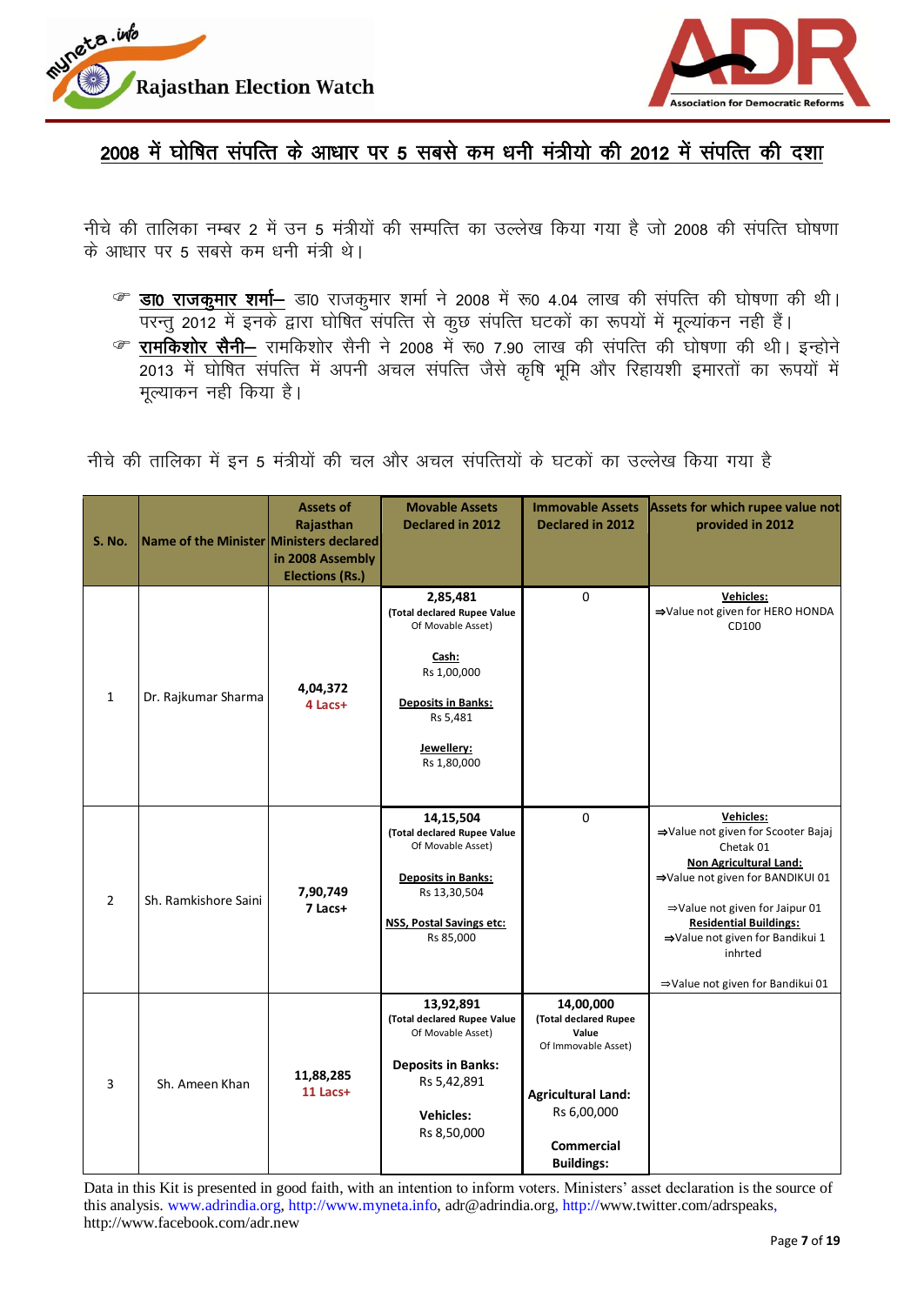



2008 में घोषित संपत्ति के आधार पर 5 सबसे कम धनी मंत्रीयो की 2012 में संपत्ति की दशा

नीचे की तालिका नम्बर 2 में उन 5 मंत्रीयों की सम्पत्ति का उल्लेख किया गया है जो 2008 की संपत्ति घोषणा के आधार पर 5 सबसे कम धनी मंत्री थे।

- $\textcircled{\tiny{F}}$  डा0 राजकूमार शर्मा- डा0 राजकूमार शर्मा ने 2008 में रू0 4.04 लाख की संपत्ति की घोषणा की थी। <u>परन्तु 2012 में इनके द्वारा घोषित संपत्ति से कुछ संपत्ति घटकों का रूपयों में मूल्यांकन नही हैं।</u>
- रामकिशोर सैनी– रामकिशोर सैनी ने 2008 में रू0 7.90 लाख की संपत्ति की घोषणा की थी। इन्होने 2013 esa ?kksf'kr laifRr esa viuh vpy laifRr tSls d`f'k Hkwfe vkSj fjgk;"kh bekjrk sa dk :i;k sa e sa मुल्याकन नही किया है।

नीचे की तालिका में इन 5 मंत्रीयों की चल और अचल संपत्तियों के घटकों का उल्लेख किया गया है

| <b>S. No.</b>  | Name of the Minister Ministers declared | <b>Assets of</b><br>Rajasthan<br>in 2008 Assembly<br><b>Elections (Rs.)</b> | <b>Movable Assets</b><br><b>Declared in 2012</b>                                                                                                           | <b>Immovable Assets</b><br>Declared in 2012                                                                                                              | Assets for which rupee value not<br>provided in 2012                                                                                                                                                                                                                                                       |
|----------------|-----------------------------------------|-----------------------------------------------------------------------------|------------------------------------------------------------------------------------------------------------------------------------------------------------|----------------------------------------------------------------------------------------------------------------------------------------------------------|------------------------------------------------------------------------------------------------------------------------------------------------------------------------------------------------------------------------------------------------------------------------------------------------------------|
| $\mathbf{1}$   | Dr. Rajkumar Sharma                     | 4,04,372<br>4 Lacs+                                                         | 2,85,481<br>(Total declared Rupee Value<br>Of Movable Asset)<br>Cash:<br>Rs 1,00,000<br><b>Deposits in Banks:</b><br>Rs 5,481<br>Jewellery:<br>Rs 1,80,000 | $\Omega$                                                                                                                                                 | <b>Vehicles:</b><br>⇒Value not given for HERO HONDA<br>CD100                                                                                                                                                                                                                                               |
| $\overline{2}$ | Sh. Ramkishore Saini                    | 7,90,749<br>7 Lacs+                                                         | 14,15,504<br>(Total declared Rupee Value<br>Of Movable Asset)<br><b>Deposits in Banks:</b><br>Rs 13,30,504<br><b>NSS, Postal Savings etc:</b><br>Rs 85,000 | $\Omega$                                                                                                                                                 | <b>Vehicles:</b><br>⇒Value not given for Scooter Bajaj<br>Chetak 01<br><b>Non Agricultural Land:</b><br>⇒Value not given for BANDIKUI 01<br>$\Rightarrow$ Value not given for Jaipur 01<br><b>Residential Buildings:</b><br>⇒Value not given for Bandikui 1<br>inhrted<br>⇒Value not given for Bandikui 01 |
| 3              | Sh. Ameen Khan                          | 11,88,285<br>11 Lacs+                                                       | 13,92,891<br>(Total declared Rupee Value<br>Of Movable Asset)<br><b>Deposits in Banks:</b><br>Rs 5,42,891<br><b>Vehicles:</b><br>Rs 8,50,000               | 14,00,000<br>(Total declared Rupee<br>Value<br>Of Immovable Asset)<br><b>Agricultural Land:</b><br>Rs 6,00,000<br><b>Commercial</b><br><b>Buildings:</b> |                                                                                                                                                                                                                                                                                                            |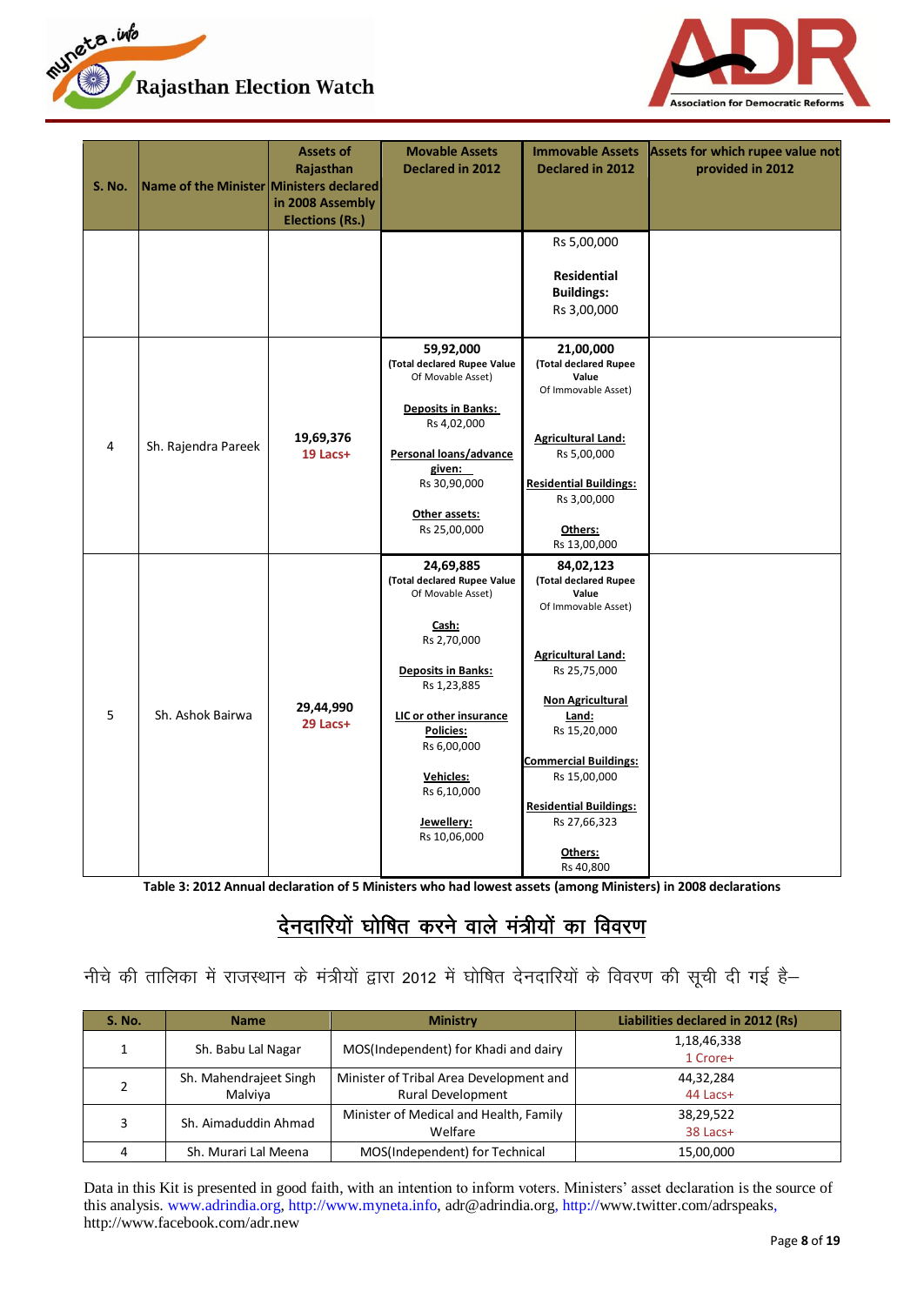



| <b>S. No.</b> | Name of the Minister Ministers declared | Assets of<br>Rajasthan<br>in 2008 Assembly<br><b>Elections (Rs.)</b> | <b>Movable Assets</b><br><b>Declared in 2012</b>                                                                                                                                                                                                         | <b>Immovable Assets</b><br><b>Declared in 2012</b>                                                                                                                                                                                                                                           | Assets for which rupee value not<br>provided in 2012 |
|---------------|-----------------------------------------|----------------------------------------------------------------------|----------------------------------------------------------------------------------------------------------------------------------------------------------------------------------------------------------------------------------------------------------|----------------------------------------------------------------------------------------------------------------------------------------------------------------------------------------------------------------------------------------------------------------------------------------------|------------------------------------------------------|
|               |                                         |                                                                      |                                                                                                                                                                                                                                                          | Rs 5,00,000<br><b>Residential</b><br><b>Buildings:</b><br>Rs 3,00,000                                                                                                                                                                                                                        |                                                      |
| 4             | Sh. Rajendra Pareek                     | 19,69,376<br>19 Lacs+                                                | 59,92,000<br>(Total declared Rupee Value<br>Of Movable Asset)<br><b>Deposits in Banks:</b><br>Rs 4,02,000<br>Personal loans/advance<br>given:<br>Rs 30,90,000<br>Other assets:<br>Rs 25,00,000                                                           | 21,00,000<br>(Total declared Rupee<br>Value<br>Of Immovable Asset)<br><b>Agricultural Land:</b><br>Rs 5,00,000<br><b>Residential Buildings:</b><br>Rs 3,00,000<br>Others:<br>Rs 13,00,000                                                                                                    |                                                      |
| 5             | Sh. Ashok Bairwa                        | 29,44,990<br>29 Lacs+                                                | 24,69,885<br>(Total declared Rupee Value<br>Of Movable Asset)<br>Cash:<br>Rs 2,70,000<br><b>Deposits in Banks:</b><br>Rs 1,23,885<br>LIC or other insurance<br>Policies:<br>Rs 6,00,000<br><b>Vehicles:</b><br>Rs 6,10,000<br>Jewellery:<br>Rs 10,06,000 | 84,02,123<br>(Total declared Rupee<br>Value<br>Of Immovable Asset)<br><b>Agricultural Land:</b><br>Rs 25,75,000<br><b>Non Agricultural</b><br>Land:<br>Rs 15,20,000<br><b>Commercial Buildings:</b><br>Rs 15,00,000<br><b>Residential Buildings:</b><br>Rs 27,66,323<br>Others:<br>Rs 40,800 |                                                      |

**Table 3: 2012 Annual declaration of 5 Ministers who had lowest assets (among Ministers) in 2008 declarations**

# देनदारियों घोषित करने वाले मंत्रीयों का विवरण

## नीचे की तालिका में राजस्थान के मंत्रीयों द्वारा 2012 में घोषित देनदारियों के विवरण की सूची दी गई है–

| <b>S. No.</b> | <b>Name</b>                       | <b>Ministry</b>                                                     | Liabilities declared in 2012 (Rs) |
|---------------|-----------------------------------|---------------------------------------------------------------------|-----------------------------------|
|               | Sh. Babu Lal Nagar                | MOS(Independent) for Khadi and dairy                                | 1,18,46,338<br>1 Crore+           |
|               | Sh. Mahendrajeet Singh<br>Malviva | Minister of Tribal Area Development and<br><b>Rural Development</b> | 44,32,284<br>44 Lacs+             |
|               | Sh. Aimaduddin Ahmad              | Minister of Medical and Health, Family<br>Welfare                   | 38,29,522<br>38 Lacs+             |
|               | Sh. Murari Lal Meena              | MOS(Independent) for Technical                                      | 15,00,000                         |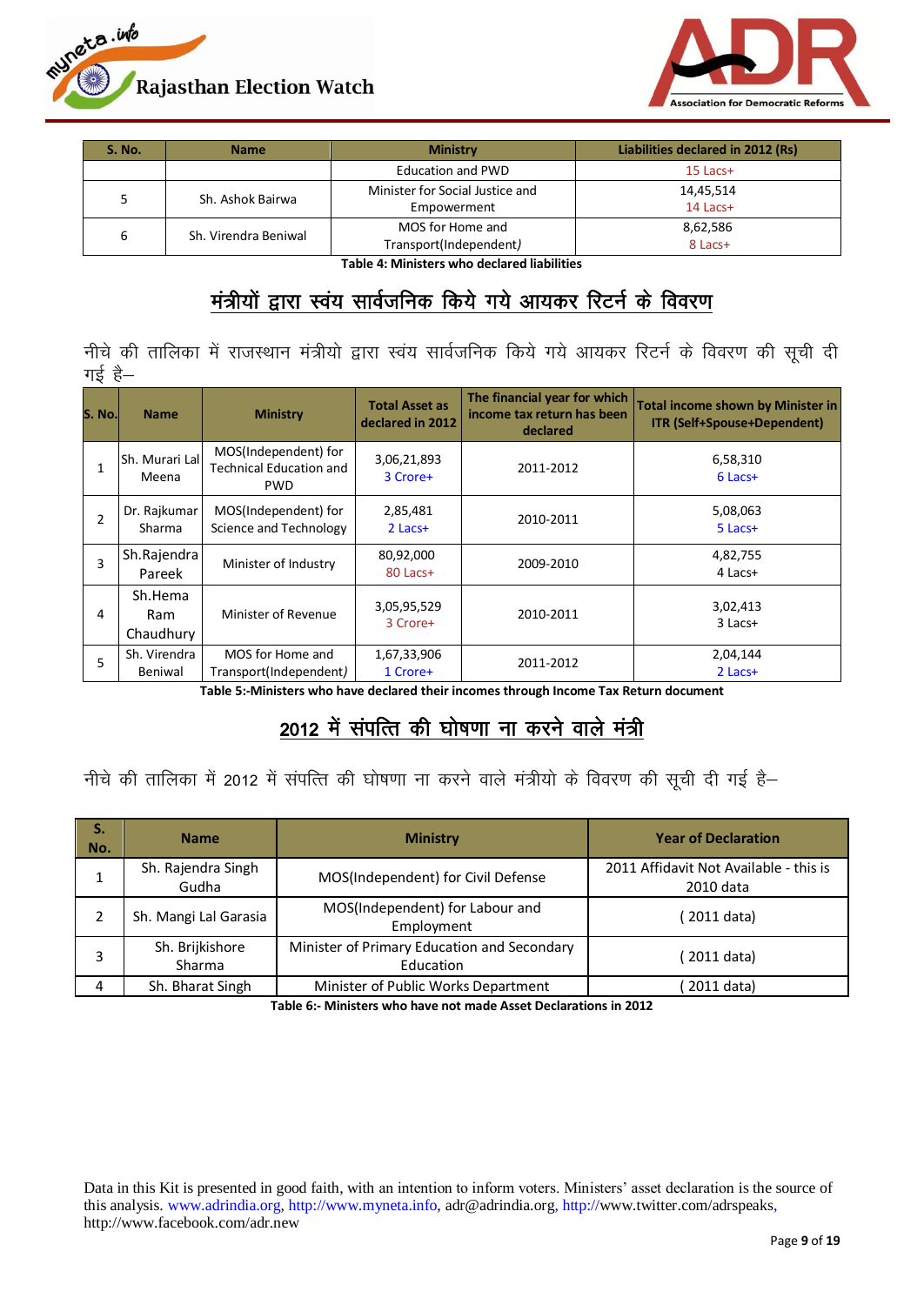



| S. No. | <b>Name</b>          | <b>Ministry</b>                                | Liabilities declared in 2012 (Rs) |  |
|--------|----------------------|------------------------------------------------|-----------------------------------|--|
|        |                      | <b>Education and PWD</b>                       | $15$ Lacs+                        |  |
|        | Sh. Ashok Bairwa     | Minister for Social Justice and<br>Empowerment | 14,45,514<br>$14$ Lacs+           |  |
| 6      | Sh. Virendra Beniwal | MOS for Home and<br>Transport(Independent)     | 8,62,586<br>8 Lacs+               |  |

**Table 4: Ministers who declared liabilities**

## मंत्रीयों द्वारा स्वंय सार्वजनिक किये गये आयकर रिटर्न के विवरण

नीचे की तालिका में राजस्थान मंत्रीयो द्वारा स्वंय सार्वजनिक किये गये आयकर रिटर्न के विवरण की सूची दी गई है $-$ 

| S. No.l        | <b>Name</b>                    | <b>Ministry</b>                                                      | <b>Total Asset as</b><br>declared in 2012 | The financial year for which<br>income tax return has been<br>declared | <b>Total income shown by Minister in</b><br><b>ITR (Self+Spouse+Dependent)</b> |
|----------------|--------------------------------|----------------------------------------------------------------------|-------------------------------------------|------------------------------------------------------------------------|--------------------------------------------------------------------------------|
| 1              | <b>Sh. Murari Lal</b><br>Meena | MOS(Independent) for<br><b>Technical Education and</b><br><b>PWD</b> | 3,06,21,893<br>3 Crore+                   | 2011-2012                                                              | 6,58,310<br>$6$ Lacs+                                                          |
| $\overline{2}$ | Dr. Rajkumar<br>Sharma         | MOS(Independent) for<br>Science and Technology                       | 2,85,481<br>$2$ Lacs+                     | 2010-2011                                                              | 5,08,063<br>5 Lacs+                                                            |
| 3              | Sh.Rajendra<br>Pareek          | Minister of Industry                                                 | 80,92,000<br>80 Lacs+                     | 2009-2010                                                              | 4,82,755<br>4 Lacs+                                                            |
| 4              | Sh.Hema<br>Ram<br>Chaudhury    | Minister of Revenue                                                  | 3,05,95,529<br>3 Crore+                   | 2010-2011                                                              | 3,02,413<br>$3$ Lacs+                                                          |
| 5              | Sh. Virendra<br>Beniwal        | MOS for Home and<br>Transport(Independent)                           | 1,67,33,906<br>1 Crore+                   | 2011-2012                                                              | 2,04,144<br>$2$ Lacs+                                                          |

**Table 5:-Ministers who have declared their incomes through Income Tax Return document**

## 2012 में संपत्ति की घोषणा ना करने वाले मंत्री

नीचे की तालिका में 2012 में संपत्ति की घोषणा ना करने वाले मंत्रीयो के विवरण की सूची दी गई है–

| S.<br>No. | <b>Name</b>                                                                           | <b>Ministry</b>                               | <b>Year of Declaration</b>                          |
|-----------|---------------------------------------------------------------------------------------|-----------------------------------------------|-----------------------------------------------------|
|           | Sh. Rajendra Singh<br>Gudha                                                           | MOS(Independent) for Civil Defense            | 2011 Affidavit Not Available - this is<br>2010 data |
|           | Sh. Mangi Lal Garasia                                                                 | MOS(Independent) for Labour and<br>Employment | 2011 data)                                          |
|           | Minister of Primary Education and Secondary<br>Sh. Brijkishore<br>Sharma<br>Education |                                               | 2011 data)                                          |
| 4         | Sh. Bharat Singh                                                                      | Minister of Public Works Department           | 2011 data)                                          |

**Table 6:- Ministers who have not made Asset Declarations in 2012**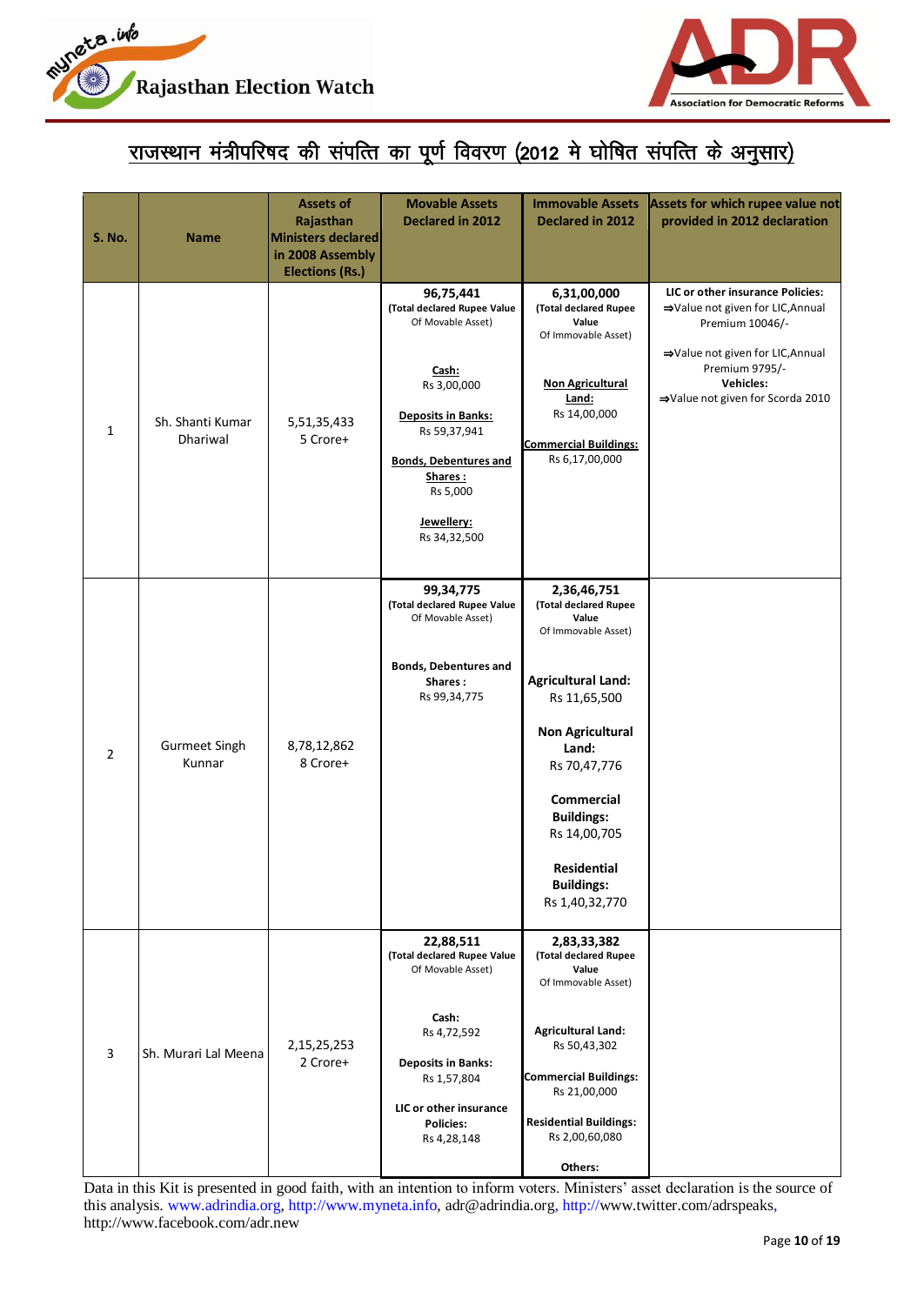



# <u>राजस्थान मंत्रीपरिषद की संपत्ति का पूर्ण विवरण (2012 मे घोषित संपत्ति के अनुसार)</u>

| <b>S. No.</b>  | <b>Name</b>                    | <b>Assets of</b><br>Rajasthan<br><b>Ministers declared</b><br>in 2008 Assembly<br><b>Elections (Rs.)</b> | <b>Movable Assets</b><br>Declared in 2012                                                                                                                                                                               | <b>Immovable Assets</b><br>Declared in 2012                                                                                                                                                                                                                                                  | Assets for which rupee value not<br>provided in 2012 declaration                                                                                                                               |
|----------------|--------------------------------|----------------------------------------------------------------------------------------------------------|-------------------------------------------------------------------------------------------------------------------------------------------------------------------------------------------------------------------------|----------------------------------------------------------------------------------------------------------------------------------------------------------------------------------------------------------------------------------------------------------------------------------------------|------------------------------------------------------------------------------------------------------------------------------------------------------------------------------------------------|
| 1              | Sh. Shanti Kumar<br>Dhariwal   | 5,51,35,433<br>5 Crore+                                                                                  | 96,75,441<br>(Total declared Rupee Value<br>Of Movable Asset)<br>Cash:<br>Rs 3,00,000<br><b>Deposits in Banks:</b><br>Rs 59,37,941<br><b>Bonds, Debentures and</b><br>Shares:<br>Rs 5,000<br>Jewellery:<br>Rs 34,32,500 | 6,31,00,000<br>(Total declared Rupee<br>Value<br>Of Immovable Asset)<br><b>Non Agricultural</b><br>Land:<br>Rs 14,00,000<br><b>Commercial Buildings:</b><br>Rs 6,17,00,000                                                                                                                   | LIC or other insurance Policies:<br>⇒Value not given for LIC, Annual<br>Premium 10046/-<br>⇒Value not given for LIC, Annual<br>Premium 9795/-<br>Vehicles:<br>⇒Value not given for Scorda 2010 |
| $\overline{2}$ | <b>Gurmeet Singh</b><br>Kunnar | 8,78,12,862<br>8 Crore+                                                                                  | 99,34,775<br>(Total declared Rupee Value<br>Of Movable Asset)<br><b>Bonds, Debentures and</b><br>Shares:<br>Rs 99,34,775                                                                                                | 2,36,46,751<br>(Total declared Rupee<br>Value<br>Of Immovable Asset)<br><b>Agricultural Land:</b><br>Rs 11,65,500<br><b>Non Agricultural</b><br>Land:<br>Rs 70,47,776<br><b>Commercial</b><br><b>Buildings:</b><br>Rs 14,00,705<br><b>Residential</b><br><b>Buildings:</b><br>Rs 1,40,32,770 |                                                                                                                                                                                                |
| 3              | Sh. Murari Lal Meena           | 2,15,25,253<br>2 Crore+                                                                                  | 22,88,511<br>(Total declared Rupee Value<br>Of Movable Asset)<br>Cash:<br>Rs 4,72,592<br><b>Deposits in Banks:</b><br>Rs 1,57,804<br>LIC or other insurance<br><b>Policies:</b><br>Rs 4,28,148                          | 2,83,33,382<br>(Total declared Rupee<br>Value<br>Of Immovable Asset)<br><b>Agricultural Land:</b><br>Rs 50,43,302<br><b>Commercial Buildings:</b><br>Rs 21,00,000<br><b>Residential Buildings:</b><br>Rs 2,00,60,080<br>Others:                                                              |                                                                                                                                                                                                |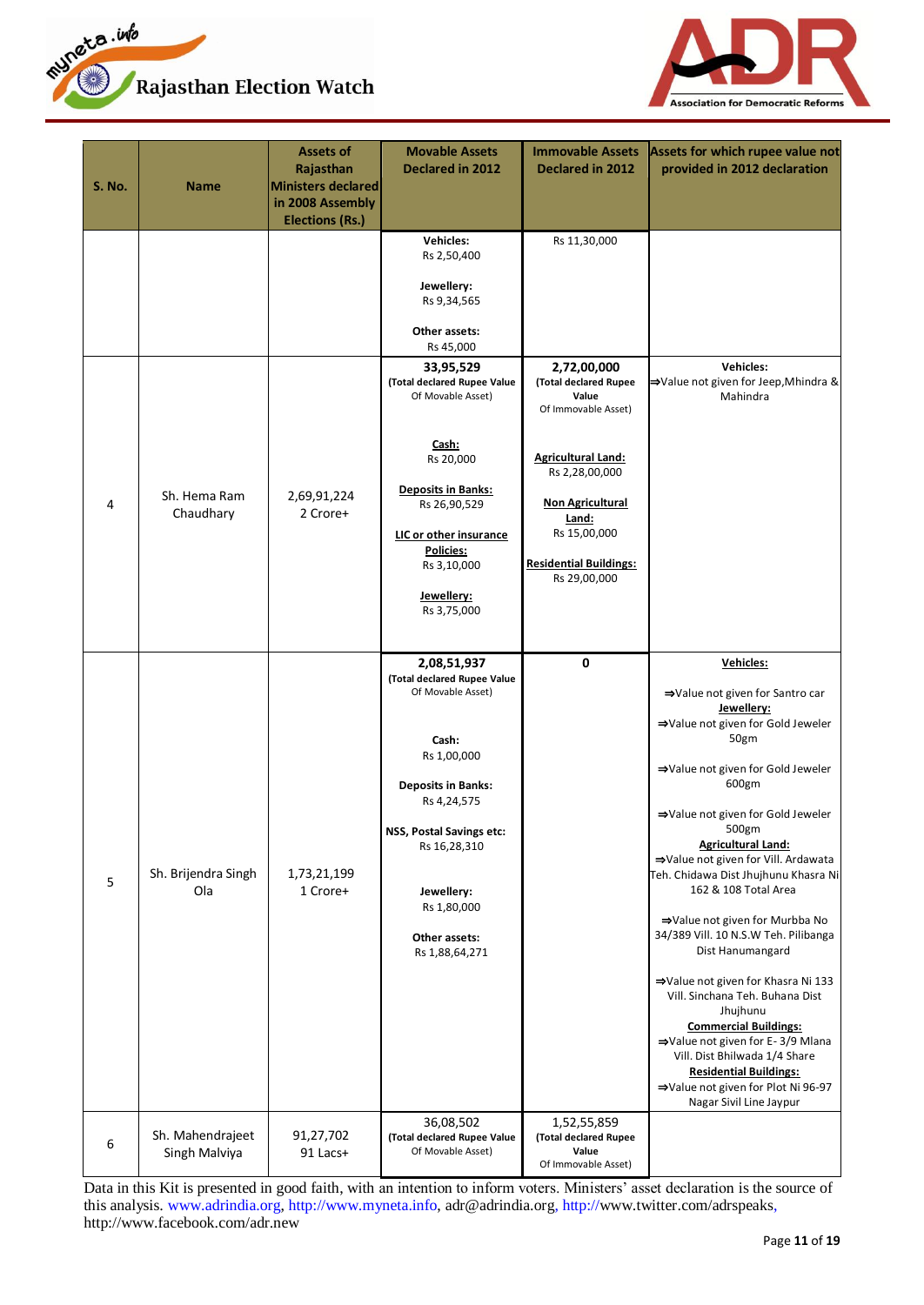



| <b>S. No.</b> | Name                              | <b>Assets of</b><br>Rajasthan<br><b>Ministers declared</b><br>in 2008 Assembly<br><b>Elections (Rs.)</b> | <b>Movable Assets</b><br><b>Declared in 2012</b>                                                                                                                                                                                                | <b>Immovable Assets</b><br>Declared in 2012                                                                                                                                                                              | Assets for which rupee value not<br>provided in 2012 declaration                                                                                                                                                                                                                                                                                                                                                                                                                                                                                                                                                                                                                                                                  |
|---------------|-----------------------------------|----------------------------------------------------------------------------------------------------------|-------------------------------------------------------------------------------------------------------------------------------------------------------------------------------------------------------------------------------------------------|--------------------------------------------------------------------------------------------------------------------------------------------------------------------------------------------------------------------------|-----------------------------------------------------------------------------------------------------------------------------------------------------------------------------------------------------------------------------------------------------------------------------------------------------------------------------------------------------------------------------------------------------------------------------------------------------------------------------------------------------------------------------------------------------------------------------------------------------------------------------------------------------------------------------------------------------------------------------------|
|               |                                   |                                                                                                          | <b>Vehicles:</b><br>Rs 2,50,400<br>Jewellery:<br>Rs 9,34,565<br>Other assets:<br>Rs 45,000                                                                                                                                                      | Rs 11,30,000                                                                                                                                                                                                             |                                                                                                                                                                                                                                                                                                                                                                                                                                                                                                                                                                                                                                                                                                                                   |
| 4             | Sh. Hema Ram<br>Chaudhary         | 2,69,91,224<br>2 Crore+                                                                                  | 33,95,529<br>(Total declared Rupee Value<br>Of Movable Asset)<br>Cash:<br>Rs 20,000<br><b>Deposits in Banks:</b><br>Rs 26,90,529<br>LIC or other insurance<br><b>Policies:</b><br>Rs 3,10,000<br>Jewellery:<br>Rs 3,75,000                      | 2,72,00,000<br>(Total declared Rupee<br>Value<br>Of Immovable Asset)<br><b>Agricultural Land:</b><br>Rs 2,28,00,000<br><b>Non Agricultural</b><br>Land:<br>Rs 15,00,000<br><b>Residential Buildings:</b><br>Rs 29,00,000 | <b>Vehicles:</b><br>→Value not given for Jeep,Mhindra &<br>Mahindra                                                                                                                                                                                                                                                                                                                                                                                                                                                                                                                                                                                                                                                               |
| 5             | Sh. Brijendra Singh<br>Ola        | 1,73,21,199<br>1 Crore+                                                                                  | 2,08,51,937<br>(Total declared Rupee Value<br>Of Movable Asset)<br>Cash:<br>Rs 1,00,000<br><b>Deposits in Banks:</b><br>Rs 4,24,575<br>NSS, Postal Savings etc:<br>Rs 16,28,310<br>Jewellery:<br>Rs 1,80,000<br>Other assets:<br>Rs 1,88,64,271 | $\pmb{0}$                                                                                                                                                                                                                | Vehicles:<br>⇒Value not given for Santro car<br>Jewellery:<br>⇒Value not given for Gold Jeweler<br>50gm<br>⇒Value not given for Gold Jeweler<br>600gm<br>⇒Value not given for Gold Jeweler<br>500gm<br><b>Agricultural Land:</b><br>⇒Value not given for Vill. Ardawata<br>Teh. Chidawa Dist Jhujhunu Khasra Ni<br>162 & 108 Total Area<br>⇒Value not given for Murbba No<br>34/389 Vill. 10 N.S.W Teh. Pilibanga<br>Dist Hanumangard<br>⇒Value not given for Khasra Ni 133<br>Vill. Sinchana Teh. Buhana Dist<br>Jhujhunu<br><b>Commercial Buildings:</b><br>⇒Value not given for E-3/9 Mlana<br>Vill. Dist Bhilwada 1/4 Share<br><b>Residential Buildings:</b><br>⇒Value not given for Plot Ni 96-97<br>Nagar Sivil Line Jaypur |
| 6             | Sh. Mahendrajeet<br>Singh Malviya | 91,27,702<br>91 Lacs+                                                                                    | 36,08,502<br>(Total declared Rupee Value<br>Of Movable Asset)                                                                                                                                                                                   | 1,52,55,859<br>(Total declared Rupee<br>Value<br>Of Immovable Asset)                                                                                                                                                     |                                                                                                                                                                                                                                                                                                                                                                                                                                                                                                                                                                                                                                                                                                                                   |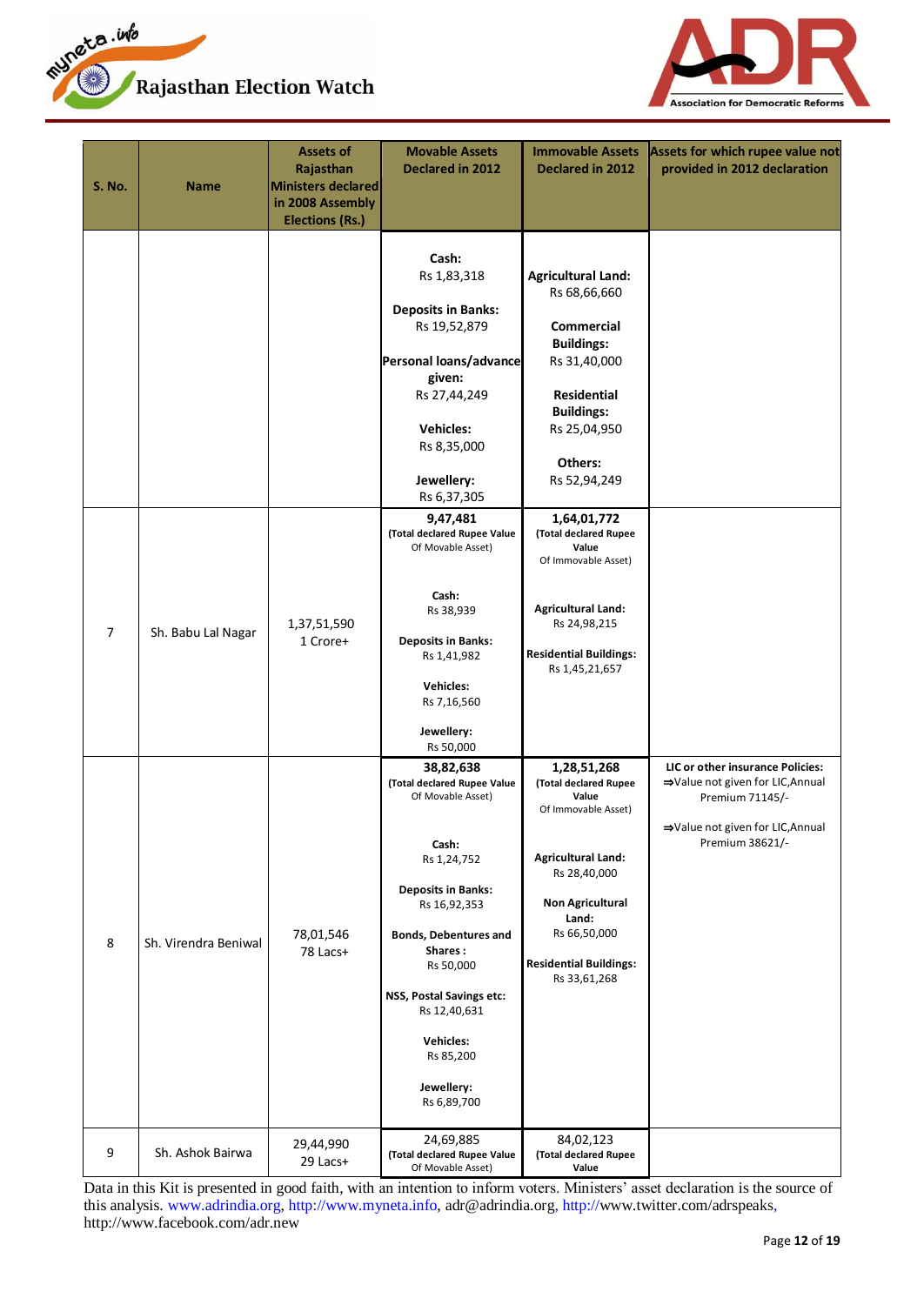



| <b>S. No.</b> | <b>Name</b>          | <b>Assets of</b><br>Rajasthan<br><b>Ministers declared</b><br>in 2008 Assembly<br><b>Elections (Rs.)</b> | <b>Movable Assets</b><br>Declared in 2012                                                                                                                                                                                                                                                            | <b>Immovable Assets</b><br>Declared in 2012                                                                                                                                                                            | Assets for which rupee value not<br>provided in 2012 declaration                                                                               |
|---------------|----------------------|----------------------------------------------------------------------------------------------------------|------------------------------------------------------------------------------------------------------------------------------------------------------------------------------------------------------------------------------------------------------------------------------------------------------|------------------------------------------------------------------------------------------------------------------------------------------------------------------------------------------------------------------------|------------------------------------------------------------------------------------------------------------------------------------------------|
|               |                      |                                                                                                          | Cash:<br>Rs 1,83,318<br><b>Deposits in Banks:</b><br>Rs 19,52,879<br>Personal loans/advance<br>given:<br>Rs 27,44,249<br><b>Vehicles:</b><br>Rs 8,35,000<br>Jewellery:<br>Rs 6,37,305                                                                                                                | <b>Agricultural Land:</b><br>Rs 68,66,660<br><b>Commercial</b><br><b>Buildings:</b><br>Rs 31,40,000<br><b>Residential</b><br><b>Buildings:</b><br>Rs 25,04,950<br>Others:<br>Rs 52,94,249                              |                                                                                                                                                |
| 7             | Sh. Babu Lal Nagar   | 1,37,51,590<br>1 Crore+                                                                                  | 9,47,481<br>(Total declared Rupee Value<br>Of Movable Asset)<br>Cash:<br>Rs 38,939<br><b>Deposits in Banks:</b><br>Rs 1,41,982<br><b>Vehicles:</b><br>Rs 7,16,560<br>Jewellery:<br>Rs 50,000                                                                                                         | 1,64,01,772<br>(Total declared Rupee<br>Value<br>Of Immovable Asset)<br><b>Agricultural Land:</b><br>Rs 24,98,215<br><b>Residential Buildings:</b><br>Rs 1,45,21,657                                                   |                                                                                                                                                |
| 8             | Sh. Virendra Beniwal | 78,01,546<br>78 Lacs+                                                                                    | 38,82,638<br>(Total declared Rupee Value<br>Of Movable Asset)<br>Cash:<br>Rs 1,24,752<br><b>Deposits in Banks:</b><br>Rs 16,92,353<br><b>Bonds, Debentures and</b><br>Shares:<br>Rs 50,000<br>NSS, Postal Savings etc:<br>Rs 12,40,631<br><b>Vehicles:</b><br>Rs 85,200<br>Jewellery:<br>Rs 6,89,700 | 1,28,51,268<br>(Total declared Rupee<br>Value<br>Of Immovable Asset)<br><b>Agricultural Land:</b><br>Rs 28,40,000<br><b>Non Agricultural</b><br>Land:<br>Rs 66,50,000<br><b>Residential Buildings:</b><br>Rs 33,61,268 | LIC or other insurance Policies:<br>⇒Value not given for LIC, Annual<br>Premium 71145/-<br>⇒Value not given for LIC, Annual<br>Premium 38621/- |
| 9             | Sh. Ashok Bairwa     | 29,44,990<br>29 Lacs+                                                                                    | 24,69,885<br>(Total declared Rupee Value<br>Of Movable Asset)                                                                                                                                                                                                                                        | 84,02,123<br>(Total declared Rupee<br>Value                                                                                                                                                                            |                                                                                                                                                |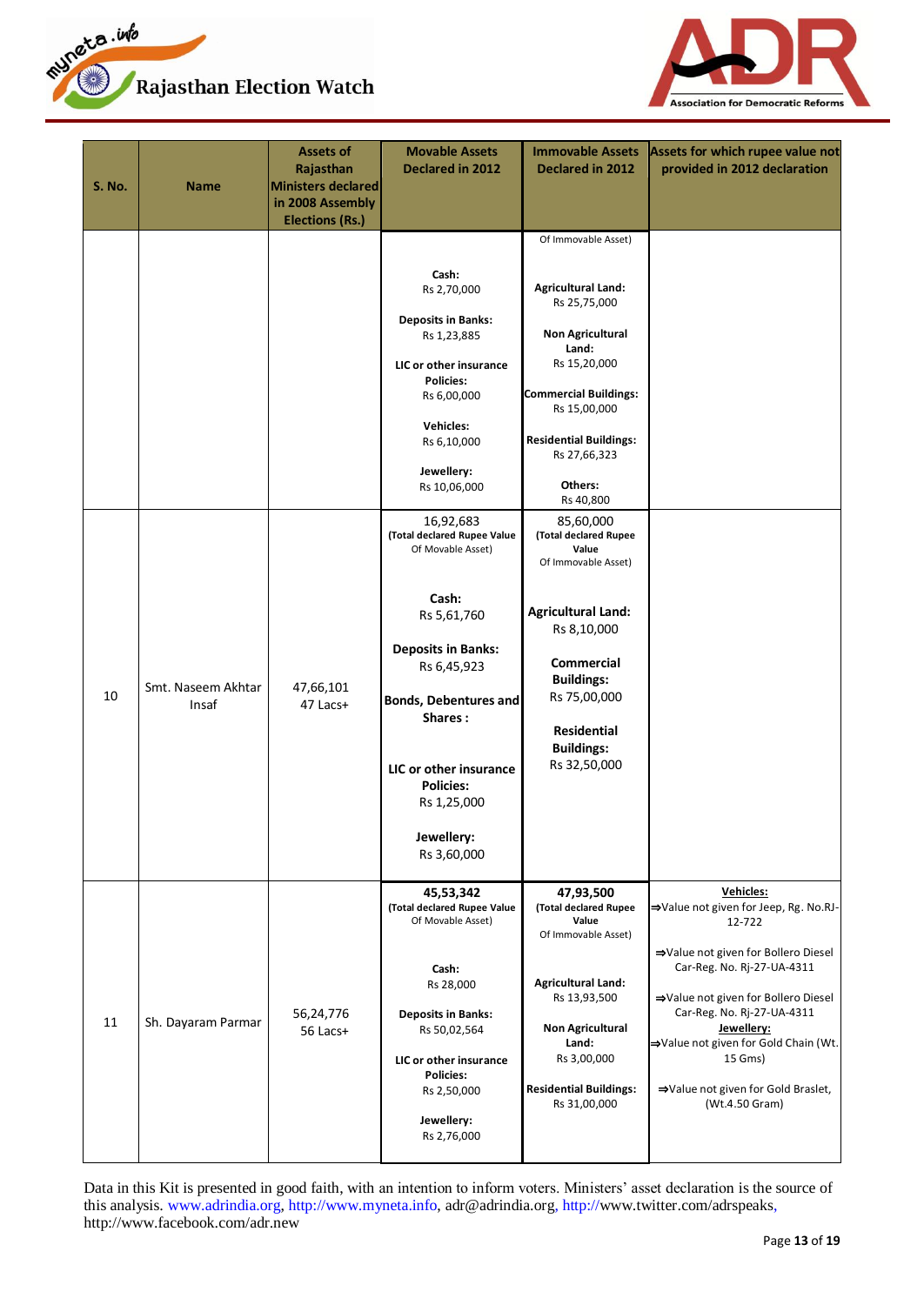



| <b>S. No.</b> | <b>Name</b>                 | <b>Assets of</b><br>Rajasthan<br><b>Ministers declared</b><br>in 2008 Assembly<br><b>Elections (Rs.)</b> | <b>Movable Assets</b><br>Declared in 2012                                                                                                                                                                                                                                                                                                                                                                                                                                | <b>Immovable Assets</b><br>Declared in 2012                                                                                                                                                                                                                                                                                                                                                                                                                                   | Assets for which rupee value not<br>provided in 2012 declaration                                                                                                                                                                                                                                                                |
|---------------|-----------------------------|----------------------------------------------------------------------------------------------------------|--------------------------------------------------------------------------------------------------------------------------------------------------------------------------------------------------------------------------------------------------------------------------------------------------------------------------------------------------------------------------------------------------------------------------------------------------------------------------|-------------------------------------------------------------------------------------------------------------------------------------------------------------------------------------------------------------------------------------------------------------------------------------------------------------------------------------------------------------------------------------------------------------------------------------------------------------------------------|---------------------------------------------------------------------------------------------------------------------------------------------------------------------------------------------------------------------------------------------------------------------------------------------------------------------------------|
| 10            | Smt. Naseem Akhtar<br>Insaf | 47,66,101<br>47 Lacs+                                                                                    | Cash:<br>Rs 2,70,000<br><b>Deposits in Banks:</b><br>Rs 1,23,885<br>LIC or other insurance<br><b>Policies:</b><br>Rs 6,00,000<br><b>Vehicles:</b><br>Rs 6,10,000<br>Jewellery:<br>Rs 10,06,000<br>16,92,683<br>(Total declared Rupee Value<br>Of Movable Asset)<br>Cash:<br>Rs 5,61,760<br><b>Deposits in Banks:</b><br>Rs 6,45,923<br><b>Bonds, Debentures and</b><br>Shares:<br>LIC or other insurance<br><b>Policies:</b><br>Rs 1,25,000<br>Jewellery:<br>Rs 3,60,000 | Of Immovable Asset)<br><b>Agricultural Land:</b><br>Rs 25,75,000<br><b>Non Agricultural</b><br>Land:<br>Rs 15,20,000<br><b>Commercial Buildings:</b><br>Rs 15,00,000<br><b>Residential Buildings:</b><br>Rs 27,66,323<br>Others:<br>Rs 40,800<br>85,60,000<br>(Total declared Rupee<br>Value<br>Of Immovable Asset)<br><b>Agricultural Land:</b><br>Rs 8,10,000<br><b>Commercial</b><br><b>Buildings:</b><br>Rs 75,00,000<br>Residential<br><b>Buildings:</b><br>Rs 32,50,000 |                                                                                                                                                                                                                                                                                                                                 |
| 11            | Sh. Dayaram Parmar          | 56,24,776<br>56 Lacs+                                                                                    | 45,53,342<br>(Total declared Rupee Value<br>Of Movable Asset)<br>Cash:<br>Rs 28,000<br><b>Deposits in Banks:</b><br>Rs 50,02,564<br>LIC or other insurance<br><b>Policies:</b><br>Rs 2,50,000<br>Jewellery:<br>Rs 2,76,000                                                                                                                                                                                                                                               | 47,93,500<br>(Total declared Rupee<br>Value<br>Of Immovable Asset)<br><b>Agricultural Land:</b><br>Rs 13,93,500<br><b>Non Agricultural</b><br>Land:<br>Rs 3,00,000<br><b>Residential Buildings:</b><br>Rs 31,00,000                                                                                                                                                                                                                                                           | Vehicles:<br>⇒Value not given for Jeep, Rg. No.RJ-<br>12-722<br>⇒Value not given for Bollero Diesel<br>Car-Reg. No. Rj-27-UA-4311<br>⇒Value not given for Bollero Diesel<br>Car-Reg. No. Rj-27-UA-4311<br>Jewellery:<br>⇒Value not given for Gold Chain (Wt.<br>15 Gms)<br>⇒Value not given for Gold Braslet,<br>(Wt.4.50 Gram) |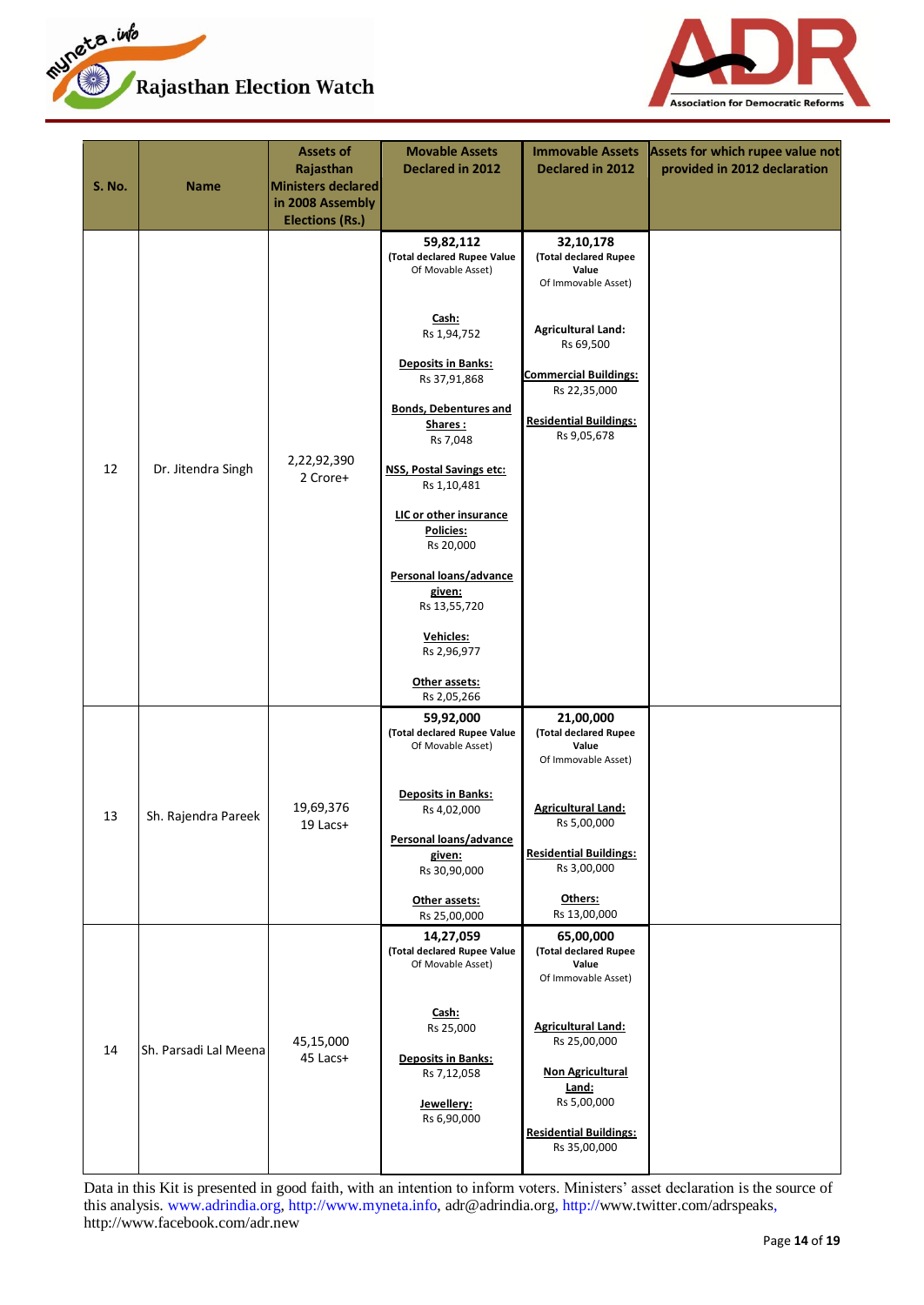



| <b>S. No.</b> | Name                  | <b>Assets of</b><br>Rajasthan<br>Ministers declared<br>in 2008 Assembly<br><b>Elections (Rs.)</b> | <b>Movable Assets</b><br>Declared in 2012                     | <b>Immovable Assets</b><br>Declared in 2012                        | Assets for which rupee value not<br>provided in 2012 declaration |
|---------------|-----------------------|---------------------------------------------------------------------------------------------------|---------------------------------------------------------------|--------------------------------------------------------------------|------------------------------------------------------------------|
|               |                       |                                                                                                   | 59,82,112<br>(Total declared Rupee Value<br>Of Movable Asset) | 32,10,178<br>(Total declared Rupee<br>Value<br>Of Immovable Asset) |                                                                  |
|               |                       |                                                                                                   | Cash:<br>Rs 1,94,752                                          | <b>Agricultural Land:</b><br>Rs 69,500                             |                                                                  |
|               |                       |                                                                                                   | <b>Deposits in Banks:</b><br>Rs 37,91,868                     | <b>Commercial Buildings:</b><br>Rs 22,35,000                       |                                                                  |
|               |                       |                                                                                                   | <b>Bonds, Debentures and</b><br>Shares:<br>Rs 7,048           | <b>Residential Buildings:</b><br>Rs 9,05,678                       |                                                                  |
| 12            | Dr. Jitendra Singh    | 2,22,92,390<br>2 Crore+                                                                           | NSS, Postal Savings etc:<br>Rs 1,10,481                       |                                                                    |                                                                  |
|               |                       |                                                                                                   | LIC or other insurance<br>Policies:<br>Rs 20,000              |                                                                    |                                                                  |
|               |                       |                                                                                                   | Personal loans/advance<br>given:<br>Rs 13,55,720              |                                                                    |                                                                  |
|               |                       |                                                                                                   | Vehicles:<br>Rs 2,96,977                                      |                                                                    |                                                                  |
|               |                       |                                                                                                   | Other assets:<br>Rs 2,05,266                                  |                                                                    |                                                                  |
|               |                       |                                                                                                   | 59,92,000<br>(Total declared Rupee Value<br>Of Movable Asset) | 21,00,000<br>(Total declared Rupee<br>Value<br>Of Immovable Asset) |                                                                  |
| 13            | Sh. Rajendra Pareek   | 19,69,376<br>$19$ Lacs+                                                                           | <b>Deposits in Banks:</b><br>Rs 4,02,000                      | <b>Agricultural Land:</b><br>Rs 5,00,000                           |                                                                  |
|               |                       |                                                                                                   | Personal loans/advance<br>given:<br>Rs 30,90,000              | <b>Residential Buildings:</b><br>Rs 3,00,000                       |                                                                  |
|               |                       |                                                                                                   | Other assets:<br>Rs 25,00,000                                 | Others:<br>Rs 13,00,000                                            |                                                                  |
|               |                       |                                                                                                   | 14,27,059<br>(Total declared Rupee Value<br>Of Movable Asset) | 65,00,000<br>(Total declared Rupee<br>Value<br>Of Immovable Asset) |                                                                  |
| 14            | Sh. Parsadi Lal Meena | 45,15,000                                                                                         | Cash:<br>Rs 25,000<br><b>Deposits in Banks:</b>               | <b>Agricultural Land:</b><br>Rs 25,00,000                          |                                                                  |
|               |                       | 45 Lacs+                                                                                          | Rs 7,12,058<br>Jewellery:                                     | <b>Non Agricultural</b><br>Land:<br>Rs 5,00,000                    |                                                                  |
|               |                       |                                                                                                   | Rs 6,90,000                                                   | <b>Residential Buildings:</b><br>Rs 35,00,000                      |                                                                  |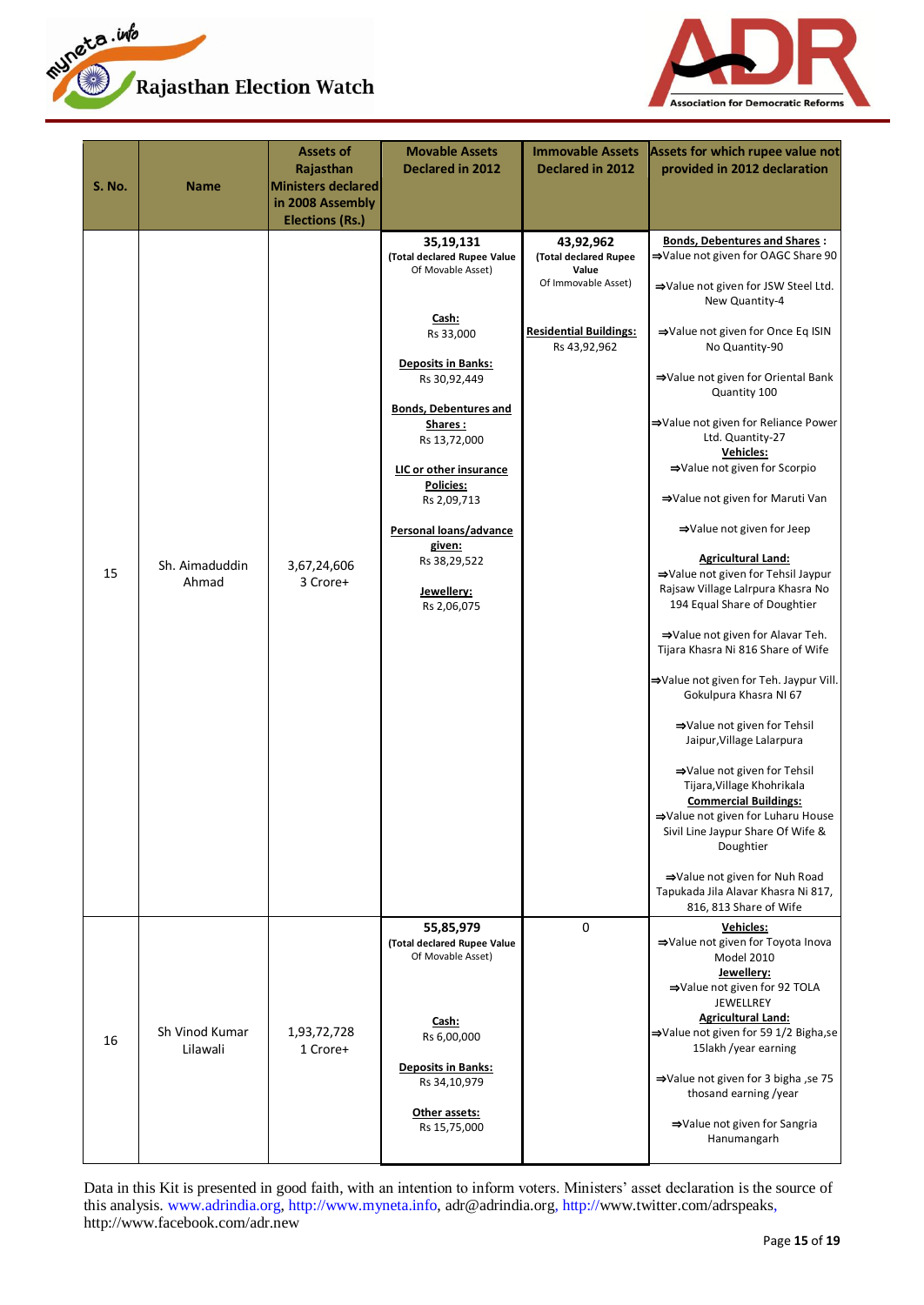



| <b>S. No.</b> | Name                       | <b>Assets of</b><br>Rajasthan<br>Ministers declared<br>in 2008 Assembly<br><b>Elections (Rs.)</b> | <b>Movable Assets</b><br>Declared in 2012                                                                                                                                                                                                                                                                                                 | <b>Immovable Assets</b><br>Declared in 2012                                                                         | Assets for which rupee value not<br>provided in 2012 declaration                                                                                                                                                                                                                                                                                                                                                                                                                                                                                                                                                                                                                                                                                                                                                                                                                                                                                                                                                                                                 |
|---------------|----------------------------|---------------------------------------------------------------------------------------------------|-------------------------------------------------------------------------------------------------------------------------------------------------------------------------------------------------------------------------------------------------------------------------------------------------------------------------------------------|---------------------------------------------------------------------------------------------------------------------|------------------------------------------------------------------------------------------------------------------------------------------------------------------------------------------------------------------------------------------------------------------------------------------------------------------------------------------------------------------------------------------------------------------------------------------------------------------------------------------------------------------------------------------------------------------------------------------------------------------------------------------------------------------------------------------------------------------------------------------------------------------------------------------------------------------------------------------------------------------------------------------------------------------------------------------------------------------------------------------------------------------------------------------------------------------|
| 15            | Sh. Aimaduddin<br>Ahmad    | 3,67,24,606<br>3 Crore+                                                                           | 35,19,131<br>(Total declared Rupee Value<br>Of Movable Asset)<br>Cash:<br>Rs 33,000<br><b>Deposits in Banks:</b><br>Rs 30,92,449<br><b>Bonds, Debentures and</b><br>Shares:<br>Rs 13,72,000<br>LIC or other insurance<br><b>Policies:</b><br>Rs 2,09,713<br>Personal loans/advance<br>given:<br>Rs 38,29,522<br>Jewellery:<br>Rs 2,06,075 | 43,92,962<br>(Total declared Rupee<br>Value<br>Of Immovable Asset)<br><b>Residential Buildings:</b><br>Rs 43,92,962 | <b>Bonds, Debentures and Shares:</b><br>⇒Value not given for OAGC Share 90<br>⇒Value not given for JSW Steel Ltd.<br>New Quantity-4<br>⇒Value not given for Once Eq ISIN<br>No Quantity-90<br>⇒Value not given for Oriental Bank<br>Quantity 100<br>⇒Value not given for Reliance Power<br>Ltd. Quantity-27<br>Vehicles:<br>⇒Value not given for Scorpio<br>⇒Value not given for Maruti Van<br>⇒Value not given for Jeep<br><b>Agricultural Land:</b><br>⇒Value not given for Tehsil Jaypur<br>Rajsaw Village Lalrpura Khasra No<br>194 Equal Share of Doughtier<br>⇒Value not given for Alavar Teh.<br>Tijara Khasra Ni 816 Share of Wife<br>⇒Value not given for Teh. Jaypur Vill.<br>Gokulpura Khasra NI 67<br>⇒Value not given for Tehsil<br>Jaipur, Village Lalarpura<br>⇒Value not given for Tehsil<br>Tijara, Village Khohrikala<br><b>Commercial Buildings:</b><br>⇒Value not given for Luharu House<br>Sivil Line Jaypur Share Of Wife &<br>Doughtier<br>⇒Value not given for Nuh Road<br>Tapukada Jila Alavar Khasra Ni 817,<br>816, 813 Share of Wife |
| 16            | Sh Vinod Kumar<br>Lilawali | 1,93,72,728<br>1 Crore+                                                                           | 55,85,979<br>(Total declared Rupee Value<br>Of Movable Asset)<br>Cash:<br>Rs 6,00,000<br><b>Deposits in Banks:</b><br>Rs 34,10,979<br>Other assets:<br>Rs 15,75,000                                                                                                                                                                       | 0                                                                                                                   | Vehicles:<br>⇒Value not given for Toyota Inova<br>Model 2010<br>Jewellery:<br>⇒Value not given for 92 TOLA<br>JEWELLREY<br><b>Agricultural Land:</b><br>⇒Value not given for 59 1/2 Bigha,se<br>15lakh /year earning<br>⇒Value not given for 3 bigha, se 75<br>thosand earning /year<br>⇒Value not given for Sangria<br>Hanumangarh                                                                                                                                                                                                                                                                                                                                                                                                                                                                                                                                                                                                                                                                                                                              |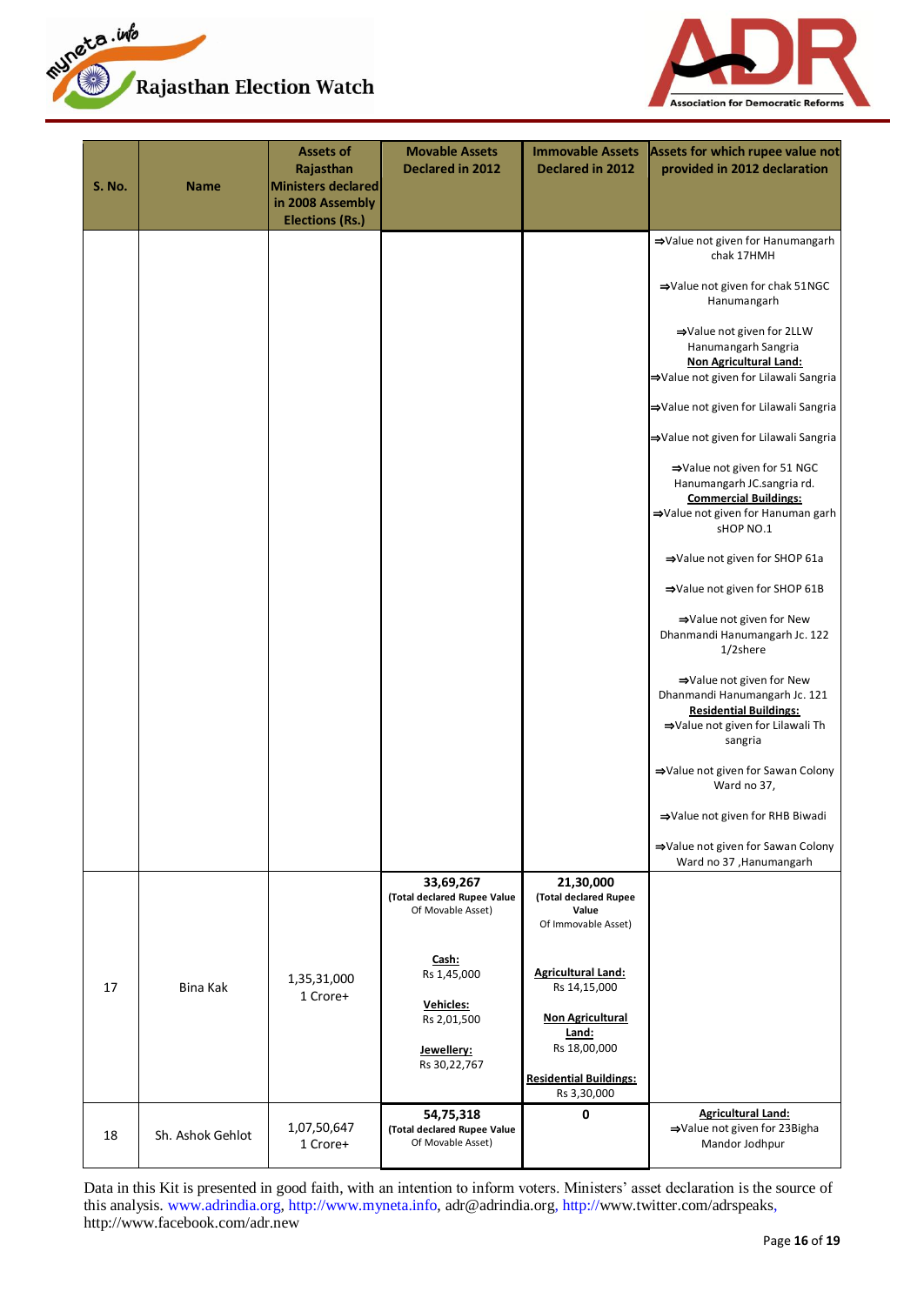



| <b>S. No.</b> | <b>Name</b>      | <b>Assets of</b><br>Rajasthan<br><b>Ministers declared</b><br>in 2008 Assembly<br><b>Elections (Rs.)</b> | <b>Movable Assets</b><br>Declared in 2012                                      | <b>Immovable Assets</b><br>Declared in 2012                                                                                                   | Assets for which rupee value not<br>provided in 2012 declaration                                                                            |
|---------------|------------------|----------------------------------------------------------------------------------------------------------|--------------------------------------------------------------------------------|-----------------------------------------------------------------------------------------------------------------------------------------------|---------------------------------------------------------------------------------------------------------------------------------------------|
|               |                  |                                                                                                          |                                                                                |                                                                                                                                               | ⇒Value not given for Hanumangarh<br>chak 17HMH                                                                                              |
|               |                  |                                                                                                          |                                                                                |                                                                                                                                               | ⇒Value not given for chak 51NGC<br>Hanumangarh                                                                                              |
|               |                  |                                                                                                          |                                                                                |                                                                                                                                               | ⇒Value not given for 2LLW<br>Hanumangarh Sangria<br>Non Agricultural Land:<br>⇒Value not given for Lilawali Sangria                         |
|               |                  |                                                                                                          |                                                                                |                                                                                                                                               | ⇒Value not given for Lilawali Sangria                                                                                                       |
|               |                  |                                                                                                          |                                                                                |                                                                                                                                               | ⇒Value not given for Lilawali Sangria                                                                                                       |
|               |                  |                                                                                                          |                                                                                |                                                                                                                                               | ⇒Value not given for 51 NGC<br>Hanumangarh JC.sangria rd.<br><b>Commercial Buildings:</b><br>⇒Value not given for Hanuman garh<br>sHOP NO.1 |
|               |                  |                                                                                                          |                                                                                |                                                                                                                                               | ⇒Value not given for SHOP 61a                                                                                                               |
|               |                  |                                                                                                          |                                                                                |                                                                                                                                               | ⇒Value not given for SHOP 61B                                                                                                               |
|               |                  |                                                                                                          |                                                                                |                                                                                                                                               | ⇒Value not given for New<br>Dhanmandi Hanumangarh Jc. 122<br>$1/2$ shere                                                                    |
|               |                  |                                                                                                          |                                                                                |                                                                                                                                               | ⇒Value not given for New<br>Dhanmandi Hanumangarh Jc. 121<br><b>Residential Buildings:</b><br>⇒Value not given for Lilawali Th<br>sangria   |
|               |                  |                                                                                                          |                                                                                |                                                                                                                                               | ⇒Value not given for Sawan Colony<br>Ward no 37,                                                                                            |
|               |                  |                                                                                                          |                                                                                |                                                                                                                                               | ⇒Value not given for RHB Biwadi                                                                                                             |
|               |                  |                                                                                                          |                                                                                |                                                                                                                                               | ⇒Value not given for Sawan Colony<br>Ward no 37, Hanumangarh                                                                                |
|               |                  |                                                                                                          | 33,69,267<br>(Total declared Rupee Value<br>Of Movable Asset)                  | 21,30,000<br>(Total declared Rupee<br>Value<br>Of Immovable Asset)                                                                            |                                                                                                                                             |
| 17            | Bina Kak         | 1,35,31,000<br>1 Crore+                                                                                  | Cash:<br>Rs 1,45,000<br>Vehicles:<br>Rs 2,01,500<br>Jewellery:<br>Rs 30,22,767 | <b>Agricultural Land:</b><br>Rs 14,15,000<br><b>Non Agricultural</b><br>Land:<br>Rs 18,00,000<br><b>Residential Buildings:</b><br>Rs 3,30,000 |                                                                                                                                             |
| 18            | Sh. Ashok Gehlot | 1,07,50,647<br>1 Crore+                                                                                  | 54,75,318<br>(Total declared Rupee Value<br>Of Movable Asset)                  | 0                                                                                                                                             | <b>Agricultural Land:</b><br>⇒Value not given for 23Bigha<br>Mandor Jodhpur                                                                 |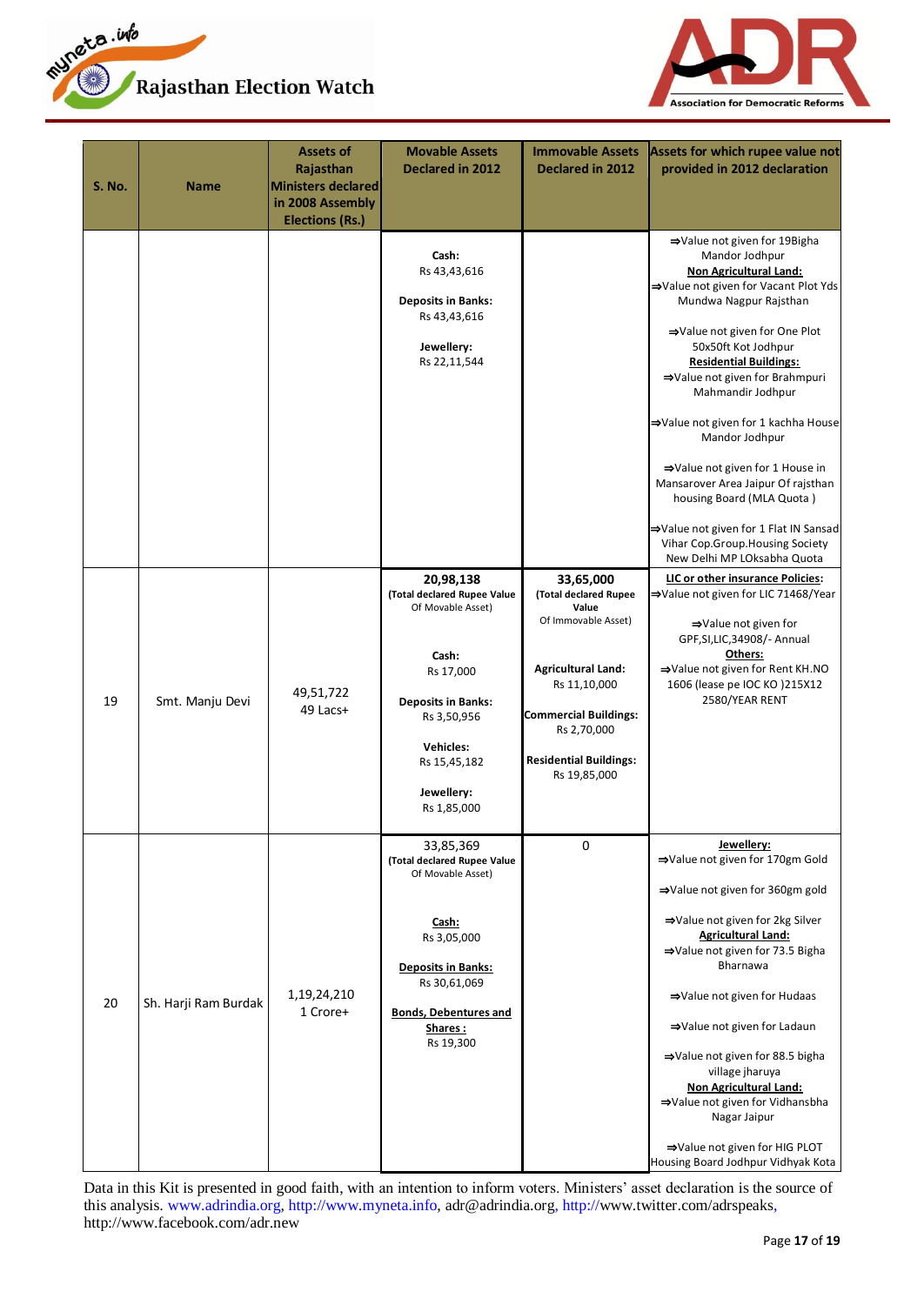



| <b>S. No.</b> | Name                 | Assets of<br>Rajasthan<br><b>Ministers declared</b><br>in 2008 Assembly<br><b>Elections (Rs.)</b> | <b>Movable Assets</b><br>Declared in 2012                                                                                                                                                        | <b>Immovable Assets</b><br>Declared in 2012                                                                                                                                                                     | Assets for which rupee value not<br>provided in 2012 declaration                                                                                                                                                                                                                                                                                                                                                                                                                                                                                                            |
|---------------|----------------------|---------------------------------------------------------------------------------------------------|--------------------------------------------------------------------------------------------------------------------------------------------------------------------------------------------------|-----------------------------------------------------------------------------------------------------------------------------------------------------------------------------------------------------------------|-----------------------------------------------------------------------------------------------------------------------------------------------------------------------------------------------------------------------------------------------------------------------------------------------------------------------------------------------------------------------------------------------------------------------------------------------------------------------------------------------------------------------------------------------------------------------------|
|               |                      |                                                                                                   | Cash:<br>Rs 43,43,616<br><b>Deposits in Banks:</b><br>Rs 43,43,616<br>Jewellery:<br>Rs 22,11,544                                                                                                 |                                                                                                                                                                                                                 | ⇒Value not given for 19Bigha<br>Mandor Jodhpur<br><b>Non Agricultural Land:</b><br>⇒Value not given for Vacant Plot Yds<br>Mundwa Nagpur Rajsthan<br>⇒Value not given for One Plot<br>50x50ft Kot Jodhpur<br><b>Residential Buildings:</b><br>⇒Value not given for Brahmpuri<br>Mahmandir Jodhpur<br>⇒Value not given for 1 kachha House<br>Mandor Jodhpur<br>⇒Value not given for 1 House in<br>Mansarover Area Jaipur Of rajsthan<br>housing Board (MLA Quota)<br>⇒Value not given for 1 Flat IN Sansad<br>Vihar Cop.Group.Housing Society<br>New Delhi MP LOksabha Quota |
| 19            | Smt. Manju Devi      | 49,51,722<br>49 Lacs+                                                                             | 20,98,138<br>(Total declared Rupee Value<br>Of Movable Asset)<br>Cash:<br>Rs 17,000<br><b>Deposits in Banks:</b><br>Rs 3,50,956<br><b>Vehicles:</b><br>Rs 15,45,182<br>Jewellery:<br>Rs 1,85,000 | 33,65,000<br>(Total declared Rupee<br>Value<br>Of Immovable Asset)<br><b>Agricultural Land:</b><br>Rs 11,10,000<br><b>Commercial Buildings:</b><br>Rs 2,70,000<br><b>Residential Buildings:</b><br>Rs 19,85,000 | LIC or other insurance Policies:<br>⇒Value not given for LIC 71468/Year<br>⇒Value not given for<br>GPF, SI, LIC, 34908/- Annual<br>Others:<br>⇒Value not given for Rent KH.NO<br>1606 (lease pe IOC KO) 215X12<br>2580/YEAR RENT                                                                                                                                                                                                                                                                                                                                            |
| 20            | Sh. Harji Ram Burdak | 1,19,24,210<br>1 Crore+                                                                           | 33,85,369<br>(Total declared Rupee Value<br>Of Movable Asset)<br>Cash:<br>Rs 3,05,000<br><b>Deposits in Banks:</b><br>Rs 30,61,069<br><b>Bonds, Debentures and</b><br>Shares:<br>Rs 19,300       | $\mathbf 0$                                                                                                                                                                                                     | Jewellery:<br>⇒Value not given for 170gm Gold<br>⇒Value not given for 360gm gold<br>⇒Value not given for 2kg Silver<br><b>Agricultural Land:</b><br>→Value not given for 73.5 Bigha<br><b>Bharnawa</b><br>⇒Value not given for Hudaas<br>⇒Value not given for Ladaun<br>⇒Value not given for 88.5 bigha<br>village jharuya<br><b>Non Agricultural Land:</b><br>⇒Value not given for Vidhansbha<br>Nagar Jaipur<br>⇒Value not given for HIG PLOT<br>Housing Board Jodhpur Vidhyak Kota                                                                                       |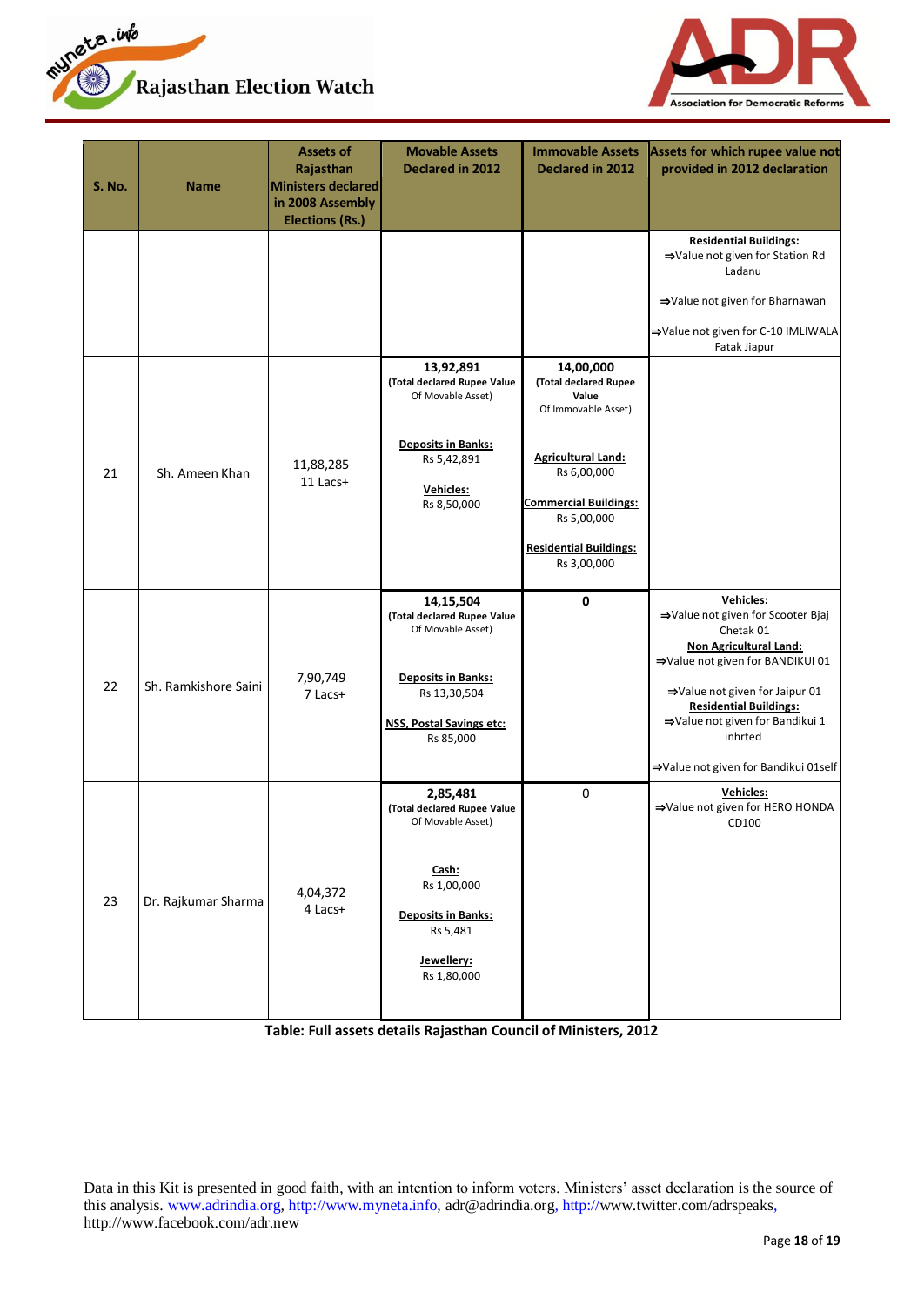



| <b>S. No.</b> | <b>Name</b>          | <b>Assets of</b><br>Rajasthan<br><b>Ministers declared</b><br>in 2008 Assembly<br><b>Elections (Rs.)</b> | <b>Movable Assets</b><br>Declared in 2012                                                                                                                  | <b>Immovable Assets</b><br>Declared in 2012                                                                                                                                                                   | Assets for which rupee value not<br>provided in 2012 declaration                                                                                                                                                                                                                                 |
|---------------|----------------------|----------------------------------------------------------------------------------------------------------|------------------------------------------------------------------------------------------------------------------------------------------------------------|---------------------------------------------------------------------------------------------------------------------------------------------------------------------------------------------------------------|--------------------------------------------------------------------------------------------------------------------------------------------------------------------------------------------------------------------------------------------------------------------------------------------------|
|               |                      |                                                                                                          |                                                                                                                                                            |                                                                                                                                                                                                               | <b>Residential Buildings:</b><br>⇒Value not given for Station Rd<br>Ladanu<br>⇒Value not given for Bharnawan<br>⇒Value not given for C-10 IMLIWALA<br>Fatak Jiapur                                                                                                                               |
| 21            | Sh. Ameen Khan       | 11,88,285<br>11 Lacs+                                                                                    | 13,92,891<br>(Total declared Rupee Value<br>Of Movable Asset)<br><b>Deposits in Banks:</b><br>Rs 5,42,891<br>Vehicles:<br>Rs 8,50,000                      | 14,00,000<br>(Total declared Rupee<br>Value<br>Of Immovable Asset)<br><b>Agricultural Land:</b><br>Rs 6,00,000<br><b>Commercial Buildings:</b><br>Rs 5,00,000<br><b>Residential Buildings:</b><br>Rs 3,00,000 |                                                                                                                                                                                                                                                                                                  |
| 22            | Sh. Ramkishore Saini | 7,90,749<br>7 Lacs+                                                                                      | 14,15,504<br>(Total declared Rupee Value<br>Of Movable Asset)<br><b>Deposits in Banks:</b><br>Rs 13,30,504<br><b>NSS, Postal Savings etc:</b><br>Rs 85,000 | 0                                                                                                                                                                                                             | <b>Vehicles:</b><br>⇒Value not given for Scooter Bjaj<br>Chetak 01<br><b>Non Agricultural Land:</b><br>⇒Value not given for BANDIKUI 01<br>⇒Value not given for Jaipur 01<br><b>Residential Buildings:</b><br>⇒Value not given for Bandikui 1<br>inhrted<br>⇒Value not given for Bandikui 01self |
| 23            | Dr. Rajkumar Sharma  | 4,04,372<br>4 Lacs+                                                                                      | 2,85,481<br>(Total declared Rupee Value<br>Of Movable Asset)<br>Cash:<br>Rs 1,00,000<br><b>Deposits in Banks:</b><br>Rs 5,481<br>Jewellery:<br>Rs 1,80,000 | 0                                                                                                                                                                                                             | Vehicles:<br>⇒Value not given for HERO HONDA<br>CD100                                                                                                                                                                                                                                            |

**Table: Full assets details Rajasthan Council of Ministers, 2012**